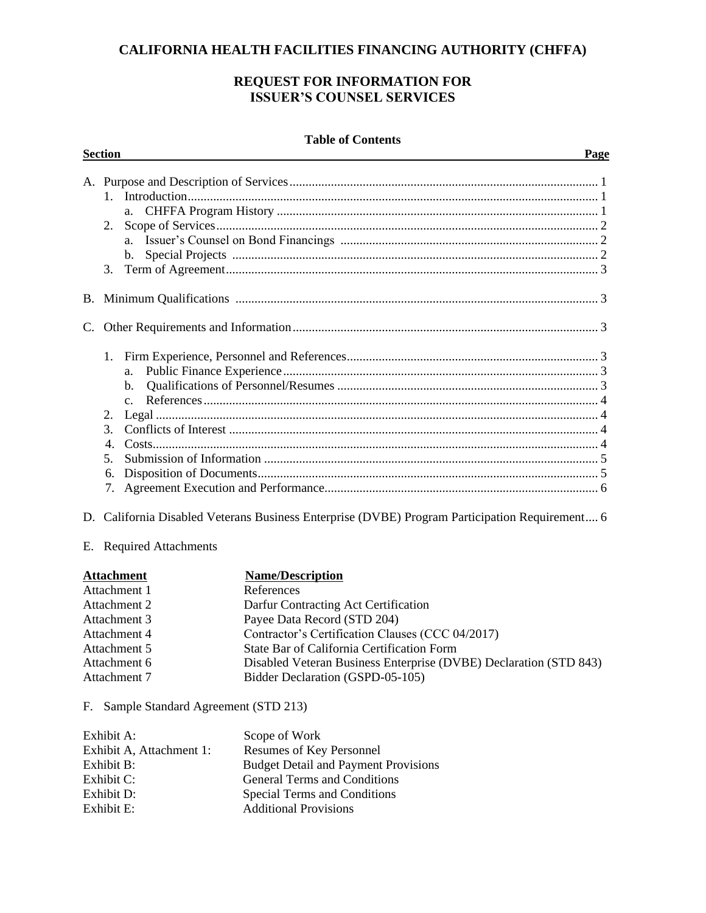# **CALIFORNIA HEALTH FACILITIES FINANCING AUTHORITY (CHFFA)**

# **REQUEST FOR INFORMATION FOR ISSUER'S COUNSEL SERVICES**

#### **Table of Contents**

|    | <b>Section</b>                                                                                                                                                              | Page                                                                                                                                                                                                                                                                                                                    |
|----|-----------------------------------------------------------------------------------------------------------------------------------------------------------------------------|-------------------------------------------------------------------------------------------------------------------------------------------------------------------------------------------------------------------------------------------------------------------------------------------------------------------------|
|    | $\mathbf{1}$<br>a.<br>2.<br>3.                                                                                                                                              |                                                                                                                                                                                                                                                                                                                         |
|    |                                                                                                                                                                             |                                                                                                                                                                                                                                                                                                                         |
| C. |                                                                                                                                                                             |                                                                                                                                                                                                                                                                                                                         |
|    | b.<br>2.<br>$3_{-}$<br>5.<br>6.<br>7.                                                                                                                                       |                                                                                                                                                                                                                                                                                                                         |
|    |                                                                                                                                                                             | D. California Disabled Veterans Business Enterprise (DVBE) Program Participation Requirement 6                                                                                                                                                                                                                          |
|    | E. Required Attachments                                                                                                                                                     |                                                                                                                                                                                                                                                                                                                         |
|    | <b>Attachment</b><br>Attachment 1<br>Attachment 2<br>Attachment 3<br>Attachment 4<br>Attachment 5<br>Attachment 6<br>Attachment 7<br>F. Sample Standard Agreement (STD 213) | <b>Name/Description</b><br>References<br>Darfur Contracting Act Certification<br>Payee Data Record (STD 204)<br>Contractor's Certification Clauses (CCC 04/2017)<br>State Bar of California Certification Form<br>Disabled Veteran Business Enterprise (DVBE) Declaration (STD 843)<br>Bidder Declaration (GSPD-05-105) |
|    |                                                                                                                                                                             |                                                                                                                                                                                                                                                                                                                         |

| Exhibit A:               | Scope of Work                               |
|--------------------------|---------------------------------------------|
| Exhibit A, Attachment 1: | Resumes of Key Personnel                    |
| Exhibit B:               | <b>Budget Detail and Payment Provisions</b> |
| Exhibit C:               | <b>General Terms and Conditions</b>         |
| Exhibit D:               | Special Terms and Conditions                |
| Exhibit E:               | <b>Additional Provisions</b>                |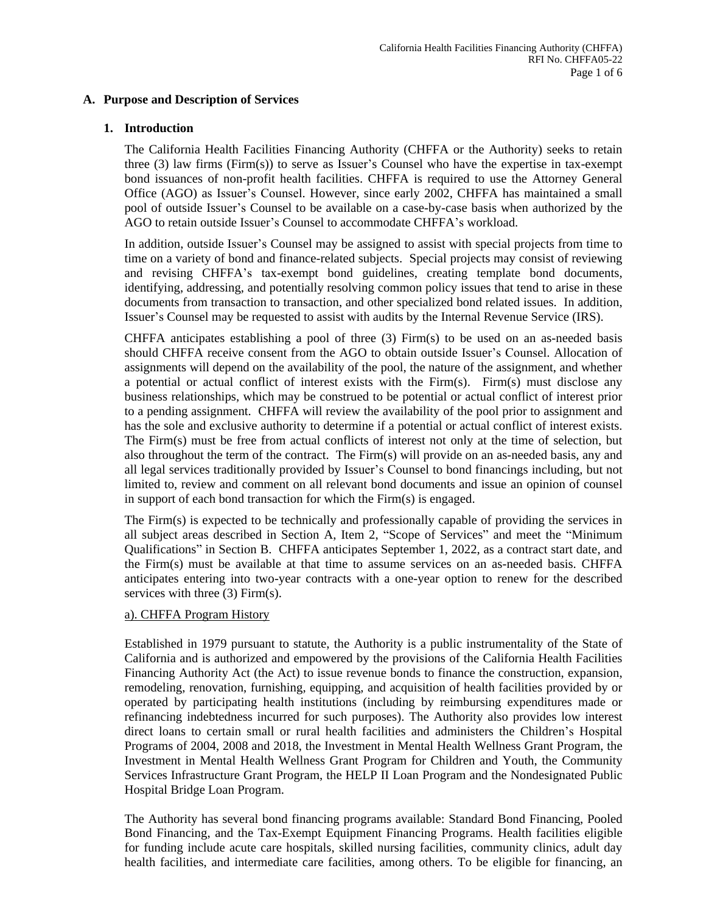#### **A. Purpose and Description of Services**

#### **1. Introduction**

The California Health Facilities Financing Authority (CHFFA or the Authority) seeks to retain three (3) law firms (Firm(s)) to serve as Issuer's Counsel who have the expertise in tax-exempt bond issuances of non-profit health facilities. CHFFA is required to use the Attorney General Office (AGO) as Issuer's Counsel. However, since early 2002, CHFFA has maintained a small pool of outside Issuer's Counsel to be available on a case-by-case basis when authorized by the AGO to retain outside Issuer's Counsel to accommodate CHFFA's workload.

In addition, outside Issuer's Counsel may be assigned to assist with special projects from time to time on a variety of bond and finance-related subjects. Special projects may consist of reviewing and revising CHFFA's tax-exempt bond guidelines, creating template bond documents, identifying, addressing, and potentially resolving common policy issues that tend to arise in these documents from transaction to transaction, and other specialized bond related issues. In addition, Issuer's Counsel may be requested to assist with audits by the Internal Revenue Service (IRS).

CHFFA anticipates establishing a pool of three  $(3)$  Firm $(s)$  to be used on an as-needed basis should CHFFA receive consent from the AGO to obtain outside Issuer's Counsel. Allocation of assignments will depend on the availability of the pool, the nature of the assignment, and whether a potential or actual conflict of interest exists with the Firm(s). Firm(s) must disclose any business relationships, which may be construed to be potential or actual conflict of interest prior to a pending assignment. CHFFA will review the availability of the pool prior to assignment and has the sole and exclusive authority to determine if a potential or actual conflict of interest exists. The Firm(s) must be free from actual conflicts of interest not only at the time of selection, but also throughout the term of the contract. The Firm(s) will provide on an as-needed basis, any and all legal services traditionally provided by Issuer's Counsel to bond financings including, but not limited to, review and comment on all relevant bond documents and issue an opinion of counsel in support of each bond transaction for which the Firm(s) is engaged.

The Firm(s) is expected to be technically and professionally capable of providing the services in all subject areas described in Section A, Item 2, "Scope of Services" and meet the "Minimum Qualifications" in Section B. CHFFA anticipates September 1, 2022, as a contract start date, and the Firm(s) must be available at that time to assume services on an as-needed basis. CHFFA anticipates entering into two-year contracts with a one-year option to renew for the described services with three (3) Firm(s).

#### a). CHFFA Program History

Established in 1979 pursuant to statute, the Authority is a public instrumentality of the State of California and is authorized and empowered by the provisions of the California Health Facilities Financing Authority Act (the Act) to issue revenue bonds to finance the construction, expansion, remodeling, renovation, furnishing, equipping, and acquisition of health facilities provided by or operated by participating health institutions (including by reimbursing expenditures made or refinancing indebtedness incurred for such purposes). The Authority also provides low interest direct loans to certain small or rural health facilities and administers the Children's Hospital Programs of 2004, 2008 and 2018, the Investment in Mental Health Wellness Grant Program, the Investment in Mental Health Wellness Grant Program for Children and Youth, the Community Services Infrastructure Grant Program, the HELP II Loan Program and the Nondesignated Public Hospital Bridge Loan Program.

The Authority has several bond financing programs available: Standard Bond Financing, Pooled Bond Financing, and the Tax-Exempt Equipment Financing Programs. Health facilities eligible for funding include acute care hospitals, skilled nursing facilities, community clinics, adult day health facilities, and intermediate care facilities, among others. To be eligible for financing, an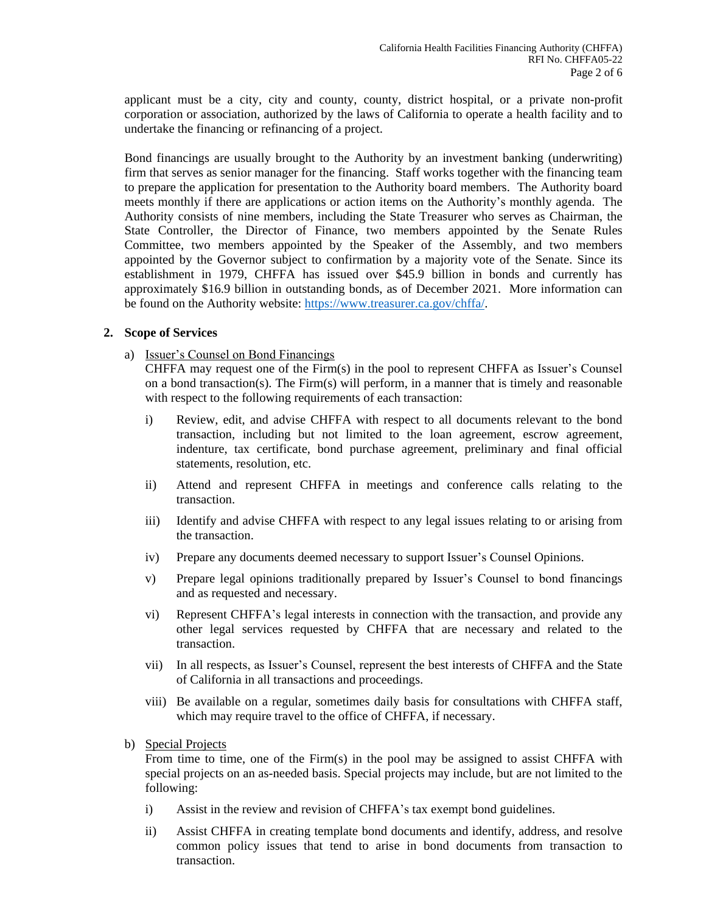applicant must be a city, city and county, county, district hospital, or a private non-profit corporation or association, authorized by the laws of California to operate a health facility and to undertake the financing or refinancing of a project.

Bond financings are usually brought to the Authority by an investment banking (underwriting) firm that serves as senior manager for the financing. Staff works together with the financing team to prepare the application for presentation to the Authority board members. The Authority board meets monthly if there are applications or action items on the Authority's monthly agenda. The Authority consists of nine members, including the State Treasurer who serves as Chairman, the State Controller, the Director of Finance, two members appointed by the Senate Rules Committee, two members appointed by the Speaker of the Assembly, and two members appointed by the Governor subject to confirmation by a majority vote of the Senate. Since its establishment in 1979, CHFFA has issued over \$45.9 billion in bonds and currently has approximately \$16.9 billion in outstanding bonds, as of December 2021. More information can be found on the Authority website: [https://www.treasurer.ca.gov/chffa/.](https://www.treasurer.ca.gov/chffa/)

#### **2. Scope of Services**

a) Issuer's Counsel on Bond Financings

CHFFA may request one of the Firm(s) in the pool to represent CHFFA as Issuer's Counsel on a bond transaction(s). The Firm(s) will perform, in a manner that is timely and reasonable with respect to the following requirements of each transaction:

- i) Review, edit, and advise CHFFA with respect to all documents relevant to the bond transaction, including but not limited to the loan agreement, escrow agreement, indenture, tax certificate, bond purchase agreement, preliminary and final official statements, resolution, etc.
- ii) Attend and represent CHFFA in meetings and conference calls relating to the transaction.
- iii) Identify and advise CHFFA with respect to any legal issues relating to or arising from the transaction.
- iv) Prepare any documents deemed necessary to support Issuer's Counsel Opinions.
- v) Prepare legal opinions traditionally prepared by Issuer's Counsel to bond financings and as requested and necessary.
- vi) Represent CHFFA's legal interests in connection with the transaction, and provide any other legal services requested by CHFFA that are necessary and related to the transaction.
- vii) In all respects, as Issuer's Counsel, represent the best interests of CHFFA and the State of California in all transactions and proceedings.
- viii) Be available on a regular, sometimes daily basis for consultations with CHFFA staff, which may require travel to the office of CHFFA, if necessary.
- b) Special Projects

From time to time, one of the Firm(s) in the pool may be assigned to assist CHFFA with special projects on an as-needed basis. Special projects may include, but are not limited to the following:

- i) Assist in the review and revision of CHFFA's tax exempt bond guidelines.
- ii) Assist CHFFA in creating template bond documents and identify, address, and resolve common policy issues that tend to arise in bond documents from transaction to transaction.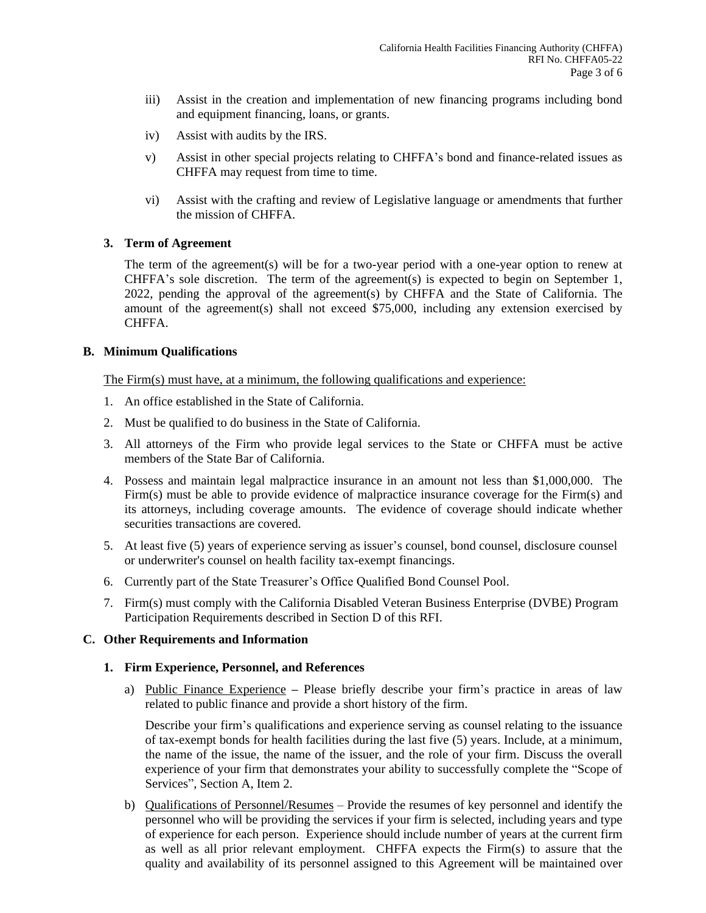- iii) Assist in the creation and implementation of new financing programs including bond and equipment financing, loans, or grants.
- iv) Assist with audits by the IRS.
- v) Assist in other special projects relating to CHFFA's bond and finance-related issues as CHFFA may request from time to time.
- vi) Assist with the crafting and review of Legislative language or amendments that further the mission of CHFFA.

## **3. Term of Agreement**

The term of the agreement(s) will be for a two-year period with a one-year option to renew at CHFFA's sole discretion. The term of the agreement(s) is expected to begin on September 1, 2022, pending the approval of the agreement(s) by CHFFA and the State of California. The amount of the agreement(s) shall not exceed \$75,000, including any extension exercised by CHFFA.

#### **B. Minimum Qualifications**

The Firm(s) must have, at a minimum, the following qualifications and experience:

- 1. An office established in the State of California.
- 2. Must be qualified to do business in the State of California.
- 3. All attorneys of the Firm who provide legal services to the State or CHFFA must be active members of the State Bar of California.
- 4. Possess and maintain legal malpractice insurance in an amount not less than \$1,000,000. The Firm(s) must be able to provide evidence of malpractice insurance coverage for the Firm(s) and its attorneys, including coverage amounts. The evidence of coverage should indicate whether securities transactions are covered.
- 5. At least five (5) years of experience serving as issuer's counsel, bond counsel, disclosure counsel or underwriter's counsel on health facility tax-exempt financings.
- 6. Currently part of the State Treasurer's Office Qualified Bond Counsel Pool.
- 7. Firm(s) must comply with the California Disabled Veteran Business Enterprise (DVBE) Program Participation Requirements described in Section D of this RFI.

#### **C. Other Requirements and Information**

#### **1. Firm Experience, Personnel, and References**

a) Public Finance Experience **–** Please briefly describe your firm's practice in areas of law related to public finance and provide a short history of the firm.

Describe your firm's qualifications and experience serving as counsel relating to the issuance of tax-exempt bonds for health facilities during the last five (5) years. Include, at a minimum, the name of the issue, the name of the issuer, and the role of your firm. Discuss the overall experience of your firm that demonstrates your ability to successfully complete the "Scope of Services", Section A, Item 2.

b) Qualifications of Personnel/Resumes – Provide the resumes of key personnel and identify the personnel who will be providing the services if your firm is selected, including years and type of experience for each person. Experience should include number of years at the current firm as well as all prior relevant employment. CHFFA expects the Firm(s) to assure that the quality and availability of its personnel assigned to this Agreement will be maintained over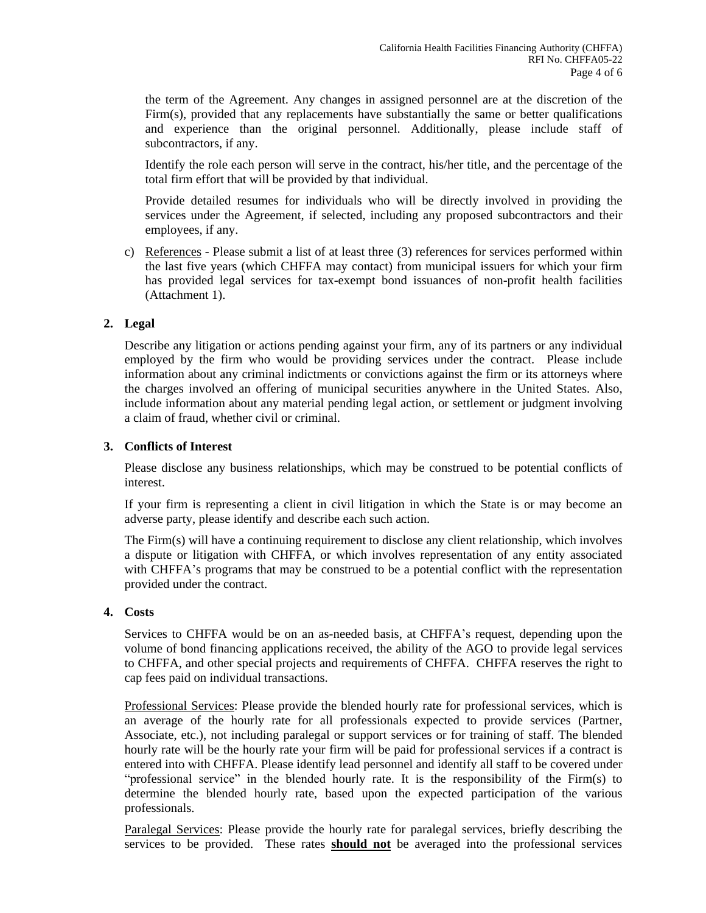the term of the Agreement. Any changes in assigned personnel are at the discretion of the Firm(s), provided that any replacements have substantially the same or better qualifications and experience than the original personnel. Additionally, please include staff of subcontractors, if any.

Identify the role each person will serve in the contract, his/her title, and the percentage of the total firm effort that will be provided by that individual.

Provide detailed resumes for individuals who will be directly involved in providing the services under the Agreement, if selected, including any proposed subcontractors and their employees, if any.

c) References - Please submit a list of at least three (3) references for services performed within the last five years (which CHFFA may contact) from municipal issuers for which your firm has provided legal services for tax-exempt bond issuances of non-profit health facilities (Attachment 1).

# **2. Legal**

Describe any litigation or actions pending against your firm, any of its partners or any individual employed by the firm who would be providing services under the contract. Please include information about any criminal indictments or convictions against the firm or its attorneys where the charges involved an offering of municipal securities anywhere in the United States. Also, include information about any material pending legal action, or settlement or judgment involving a claim of fraud, whether civil or criminal.

## **3. Conflicts of Interest**

Please disclose any business relationships, which may be construed to be potential conflicts of interest.

If your firm is representing a client in civil litigation in which the State is or may become an adverse party, please identify and describe each such action.

The Firm(s) will have a continuing requirement to disclose any client relationship, which involves a dispute or litigation with CHFFA, or which involves representation of any entity associated with CHFFA's programs that may be construed to be a potential conflict with the representation provided under the contract.

#### **4. Costs**

Services to CHFFA would be on an as-needed basis, at CHFFA's request, depending upon the volume of bond financing applications received, the ability of the AGO to provide legal services to CHFFA, and other special projects and requirements of CHFFA. CHFFA reserves the right to cap fees paid on individual transactions.

Professional Services: Please provide the blended hourly rate for professional services, which is an average of the hourly rate for all professionals expected to provide services (Partner, Associate, etc.), not including paralegal or support services or for training of staff. The blended hourly rate will be the hourly rate your firm will be paid for professional services if a contract is entered into with CHFFA. Please identify lead personnel and identify all staff to be covered under "professional service" in the blended hourly rate. It is the responsibility of the Firm(s) to determine the blended hourly rate, based upon the expected participation of the various professionals.

Paralegal Services: Please provide the hourly rate for paralegal services, briefly describing the services to be provided. These rates **should not** be averaged into the professional services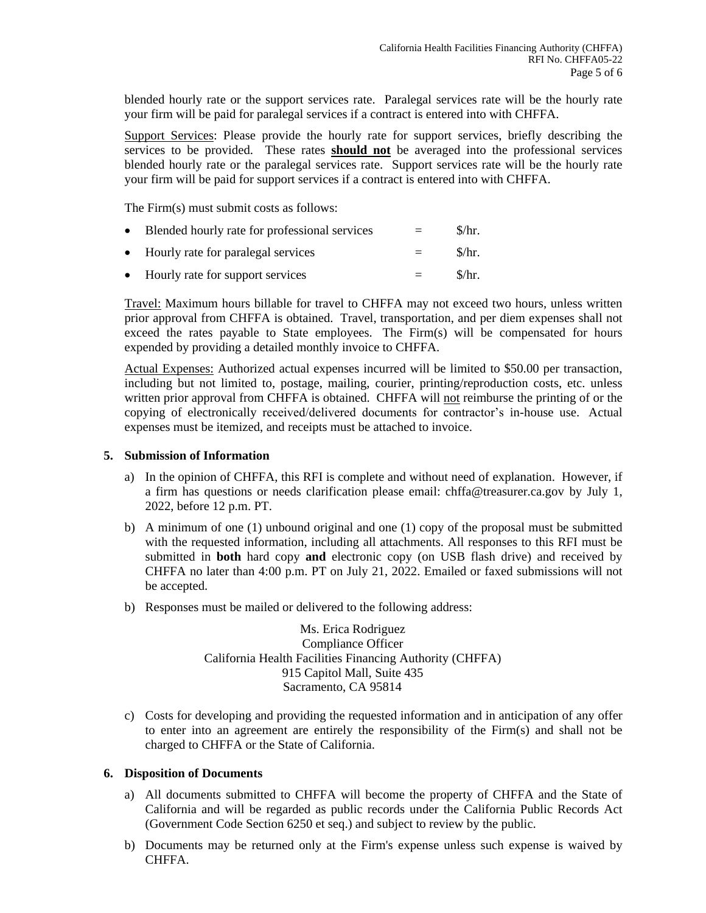blended hourly rate or the support services rate. Paralegal services rate will be the hourly rate your firm will be paid for paralegal services if a contract is entered into with CHFFA.

Support Services: Please provide the hourly rate for support services, briefly describing the services to be provided. These rates **should not** be averaged into the professional services blended hourly rate or the paralegal services rate. Support services rate will be the hourly rate your firm will be paid for support services if a contract is entered into with CHFFA.

The Firm(s) must submit costs as follows:

| Blended hourly rate for professional services | $=$ | $\frac{\pi}{3}$ |
|-----------------------------------------------|-----|-----------------|
|                                               |     |                 |

- Hourly rate for paralegal services  $=$  \$/hr.
- Hourly rate for support services  $=$  \$/hr.

Travel: Maximum hours billable for travel to CHFFA may not exceed two hours, unless written prior approval from CHFFA is obtained. Travel, transportation, and per diem expenses shall not exceed the rates payable to State employees. The Firm(s) will be compensated for hours expended by providing a detailed monthly invoice to CHFFA.

Actual Expenses: Authorized actual expenses incurred will be limited to \$50.00 per transaction, including but not limited to, postage, mailing, courier, printing/reproduction costs, etc. unless written prior approval from CHFFA is obtained. CHFFA will not reimburse the printing of or the copying of electronically received/delivered documents for contractor's in-house use. Actual expenses must be itemized, and receipts must be attached to invoice.

## **5. Submission of Information**

- a) In the opinion of CHFFA, this RFI is complete and without need of explanation. However, if a firm has questions or needs clarification please email: chffa@treasurer.ca.gov by July 1, 2022, before 12 p.m. PT.
- b) A minimum of one (1) unbound original and one (1) copy of the proposal must be submitted with the requested information, including all attachments. All responses to this RFI must be submitted in **both** hard copy **and** electronic copy (on USB flash drive) and received by CHFFA no later than 4:00 p.m. PT on July 21, 2022. Emailed or faxed submissions will not be accepted.
- b) Responses must be mailed or delivered to the following address:

Ms. Erica Rodriguez Compliance Officer California Health Facilities Financing Authority (CHFFA) 915 Capitol Mall, Suite 435 Sacramento, CA 95814

c) Costs for developing and providing the requested information and in anticipation of any offer to enter into an agreement are entirely the responsibility of the Firm(s) and shall not be charged to CHFFA or the State of California.

#### **6. Disposition of Documents**

- a) All documents submitted to CHFFA will become the property of CHFFA and the State of California and will be regarded as public records under the California Public Records Act (Government Code Section 6250 et seq.) and subject to review by the public.
- b) Documents may be returned only at the Firm's expense unless such expense is waived by CHFFA.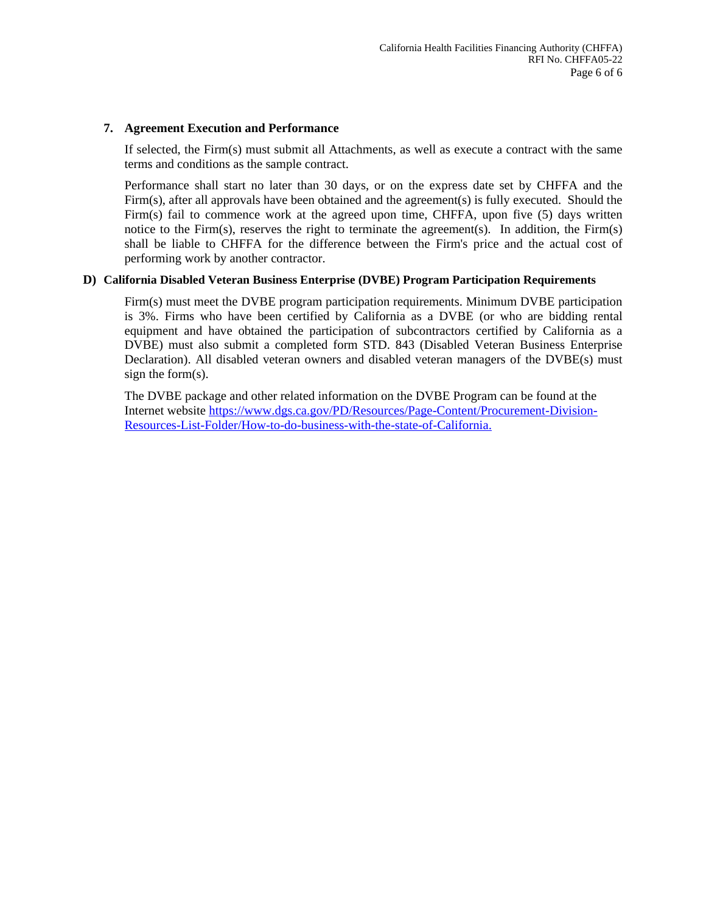#### **7. Agreement Execution and Performance**

If selected, the Firm(s) must submit all Attachments, as well as execute a contract with the same terms and conditions as the sample contract.

Performance shall start no later than 30 days, or on the express date set by CHFFA and the Firm(s), after all approvals have been obtained and the agreement(s) is fully executed. Should the Firm(s) fail to commence work at the agreed upon time, CHFFA, upon five (5) days written notice to the Firm(s), reserves the right to terminate the agreement(s). In addition, the Firm(s) shall be liable to CHFFA for the difference between the Firm's price and the actual cost of performing work by another contractor.

#### **D) California Disabled Veteran Business Enterprise (DVBE) Program Participation Requirements**

Firm(s) must meet the DVBE program participation requirements. Minimum DVBE participation is 3%. Firms who have been certified by California as a DVBE (or who are bidding rental equipment and have obtained the participation of subcontractors certified by California as a DVBE) must also submit a completed form STD. 843 (Disabled Veteran Business Enterprise Declaration). All disabled veteran owners and disabled veteran managers of the DVBE(s) must sign the form(s).

The DVBE package and other related information on the DVBE Program can be found at the Internet website [https://www.dgs.ca.gov/PD/Resources/Page-Content/Procurement-Division-](https://www.dgs.ca.gov/PD/Resources/Page-Content/Procurement-Division-Resources-List-Folder/How-to-do-business-with-the-state-of-California)[Resources-List-Folder/How-to-do-business-with-the-state-of-California.](https://www.dgs.ca.gov/PD/Resources/Page-Content/Procurement-Division-Resources-List-Folder/How-to-do-business-with-the-state-of-California)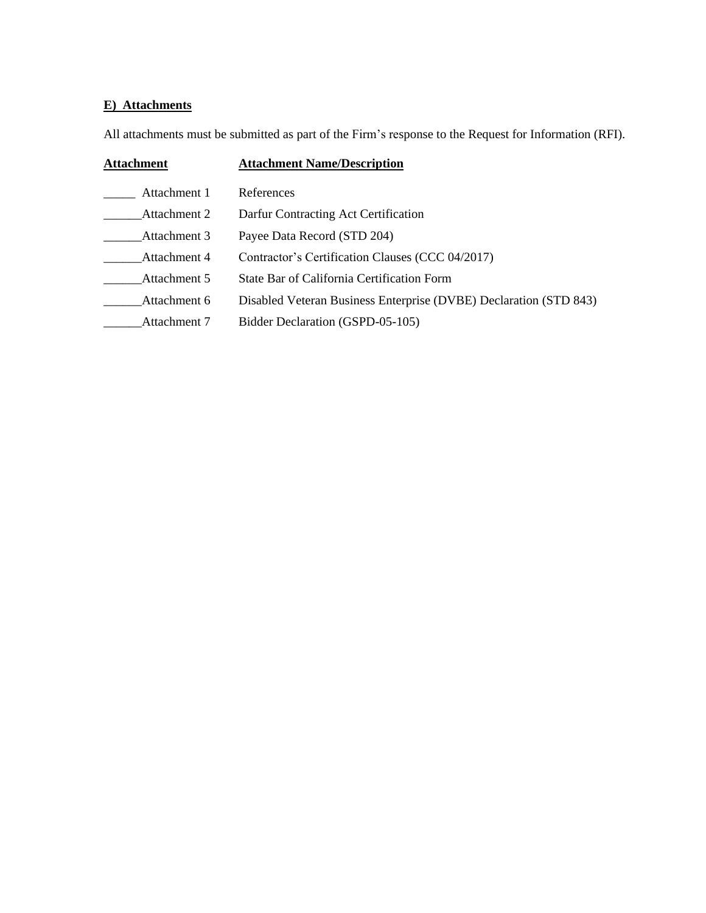# **E) Attachments**

All attachments must be submitted as part of the Firm's response to the Request for Information (RFI).

| <b>Attachment</b> | <b>Attachment Name/Description</b>                                |  |  |
|-------------------|-------------------------------------------------------------------|--|--|
| Attachment 1      | References                                                        |  |  |
| Attachment 2      | Darfur Contracting Act Certification                              |  |  |
| Attachment 3      | Payee Data Record (STD 204)                                       |  |  |
| Attachment 4      | Contractor's Certification Clauses (CCC 04/2017)                  |  |  |
| Attachment 5      | State Bar of California Certification Form                        |  |  |
| Attachment 6      | Disabled Veteran Business Enterprise (DVBE) Declaration (STD 843) |  |  |
| Attachment 7      | Bidder Declaration (GSPD-05-105)                                  |  |  |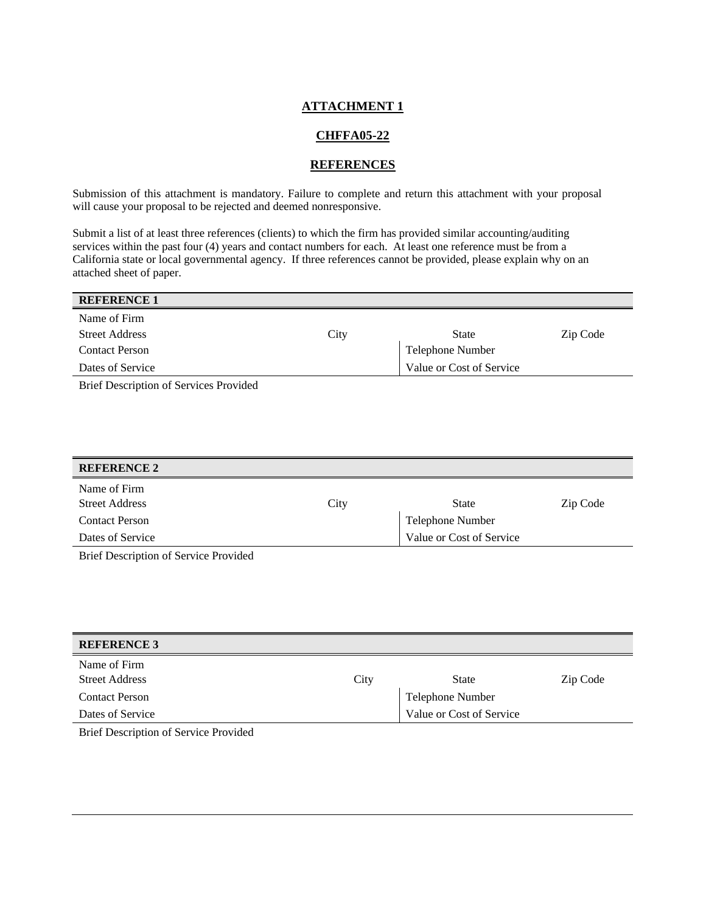### **CHFFA05-22**

#### **REFERENCES**

Submission of this attachment is mandatory. Failure to complete and return this attachment with your proposal will cause your proposal to be rejected and deemed nonresponsive.

Submit a list of at least three references (clients) to which the firm has provided similar accounting/auditing services within the past four (4) years and contact numbers for each. At least one reference must be from a California state or local governmental agency. If three references cannot be provided, please explain why on an attached sheet of paper.

| <b>REFERENCE 1</b>                            |      |                          |          |
|-----------------------------------------------|------|--------------------------|----------|
| Name of Firm                                  |      |                          |          |
| <b>Street Address</b>                         | City | State                    | Zip Code |
| <b>Contact Person</b>                         |      | Telephone Number         |          |
| Dates of Service                              |      | Value or Cost of Service |          |
| <b>Rrief Description of Services Provided</b> |      |                          |          |

Brief Description of Services Provided

| <b>REFERENCE 2</b>                           |      |                          |          |
|----------------------------------------------|------|--------------------------|----------|
| Name of Firm                                 |      |                          |          |
| <b>Street Address</b>                        | City | <b>State</b>             | Zip Code |
| <b>Contact Person</b>                        |      | Telephone Number         |          |
| Dates of Service                             |      | Value or Cost of Service |          |
| <b>Rrief Description of Service Provided</b> |      |                          |          |

Brief Description of Service Provided

| <b>REFERENCE 3</b>    |      |                          |          |
|-----------------------|------|--------------------------|----------|
| Name of Firm          |      |                          |          |
| <b>Street Address</b> | City | <b>State</b>             | Zip Code |
| <b>Contact Person</b> |      | Telephone Number         |          |
| Dates of Service      |      | Value or Cost of Service |          |

Brief Description of Service Provided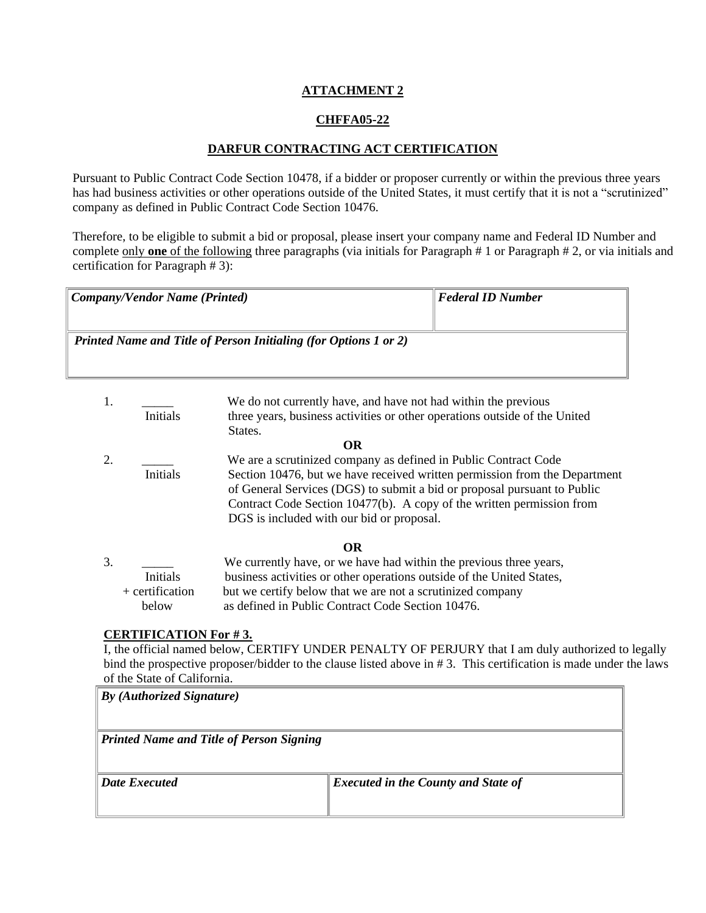## **CHFFA05-22**

### **DARFUR CONTRACTING ACT CERTIFICATION**

Pursuant to Public Contract Code Section 10478, if a bidder or proposer currently or within the previous three years has had business activities or other operations outside of the United States, it must certify that it is not a "scrutinized" company as defined in Public Contract Code Section 10476.

Therefore, to be eligible to submit a bid or proposal, please insert your company name and Federal ID Number and complete only **one** of the following three paragraphs (via initials for Paragraph # 1 or Paragraph # 2, or via initials and certification for Paragraph # 3):

| Company/Vendor Name (Printed)                                           | Federal ID Number |
|-------------------------------------------------------------------------|-------------------|
|                                                                         |                   |
| <b>Printed Name and Title of Person Initialing (for Options 1 or 2)</b> |                   |
|                                                                         |                   |

- 1. We do not currently have, and have not had within the previous Initials three years, business activities or other operations outside of the United States. **OR** 2. We are a scrutinized company as defined in Public Contract Code Initials Section 10476, but we have received written permission from the Department of General Services (DGS) to submit a bid or proposal pursuant to Public Contract Code Section 10477(b). A copy of the written permission from DGS is included with our bid or proposal. **OR** 3. \_\_\_\_\_ We currently have, or we have had within the previous three years,
- Initials business activities or other operations outside of the United States, + certification but we certify below that we are not a scrutinized company below as defined in Public Contract Code Section 10476.

#### **CERTIFICATION For # 3.**

I, the official named below, CERTIFY UNDER PENALTY OF PERJURY that I am duly authorized to legally bind the prospective proposer/bidder to the clause listed above in # 3. This certification is made under the laws of the State of California.

| $ By$ (Authorized Signature)                    |                                            |  |
|-------------------------------------------------|--------------------------------------------|--|
| <b>Printed Name and Title of Person Signing</b> |                                            |  |
| <b>Date Executed</b>                            | <i>Executed in the County and State of</i> |  |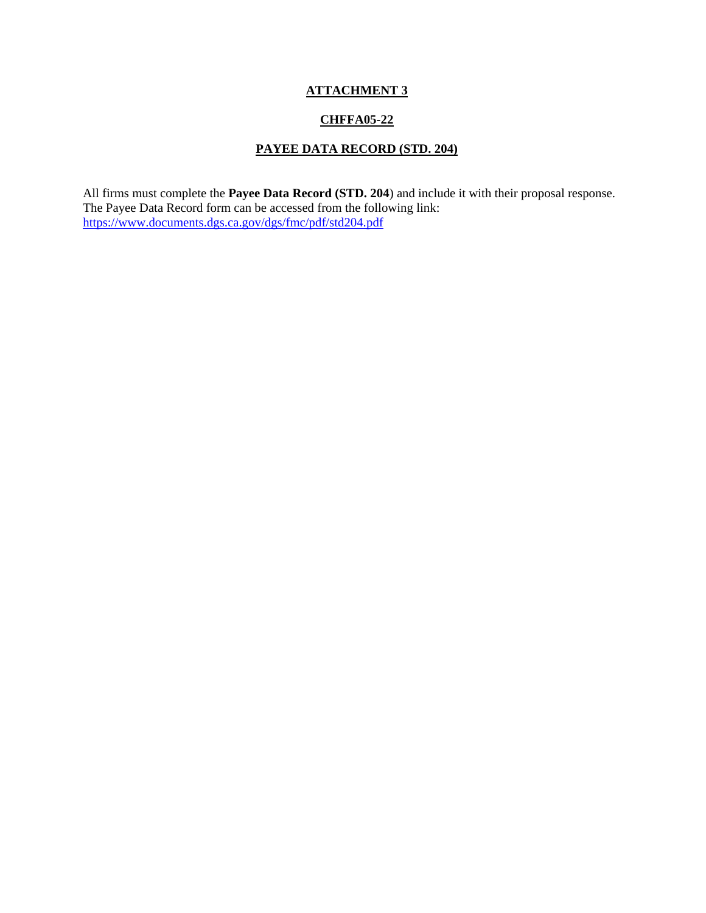## **CHFFA05-22**

# **PAYEE DATA RECORD (STD. 204)**

All firms must complete the **Payee Data Record (STD. 204**) and include it with their proposal response. The Payee Data Record form can be accessed from the following link: <https://www.documents.dgs.ca.gov/dgs/fmc/pdf/std204.pdf>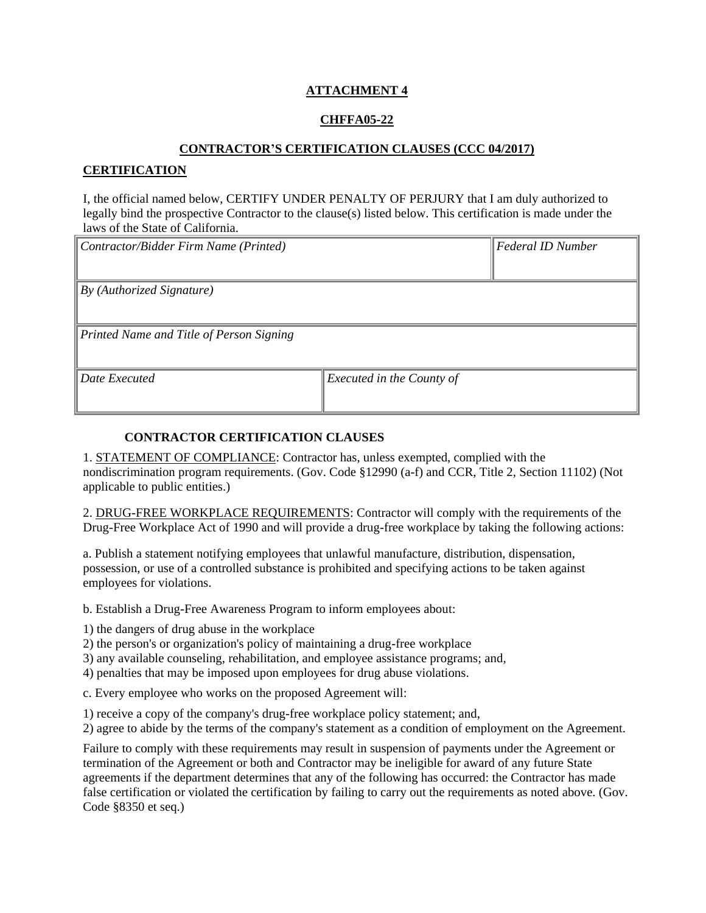## **CHFFA05-22**

#### **CONTRACTOR'S CERTIFICATION CLAUSES (CCC 04/2017)**

### **CERTIFICATION**

I, the official named below, CERTIFY UNDER PENALTY OF PERJURY that I am duly authorized to legally bind the prospective Contractor to the clause(s) listed below. This certification is made under the laws of the State of California.

| Contractor/Bidder Firm Name (Printed)    |                           | <b>Federal ID Number</b> |
|------------------------------------------|---------------------------|--------------------------|
|                                          |                           |                          |
| By (Authorized Signature)                |                           |                          |
|                                          |                           |                          |
| Printed Name and Title of Person Signing |                           |                          |
|                                          |                           |                          |
| Date Executed                            | Executed in the County of |                          |
|                                          |                           |                          |

# **CONTRACTOR CERTIFICATION CLAUSES**

1. STATEMENT OF COMPLIANCE: Contractor has, unless exempted, complied with the nondiscrimination program requirements. (Gov. Code §12990 (a-f) and CCR, Title 2, Section 11102) (Not applicable to public entities.)

2. DRUG-FREE WORKPLACE REQUIREMENTS: Contractor will comply with the requirements of the Drug-Free Workplace Act of 1990 and will provide a drug-free workplace by taking the following actions:

a. Publish a statement notifying employees that unlawful manufacture, distribution, dispensation, possession, or use of a controlled substance is prohibited and specifying actions to be taken against employees for violations.

b. Establish a Drug-Free Awareness Program to inform employees about:

1) the dangers of drug abuse in the workplace

2) the person's or organization's policy of maintaining a drug-free workplace

3) any available counseling, rehabilitation, and employee assistance programs; and,

4) penalties that may be imposed upon employees for drug abuse violations.

c. Every employee who works on the proposed Agreement will:

1) receive a copy of the company's drug-free workplace policy statement; and,

2) agree to abide by the terms of the company's statement as a condition of employment on the Agreement.

Failure to comply with these requirements may result in suspension of payments under the Agreement or termination of the Agreement or both and Contractor may be ineligible for award of any future State agreements if the department determines that any of the following has occurred: the Contractor has made false certification or violated the certification by failing to carry out the requirements as noted above. (Gov. Code §8350 et seq.)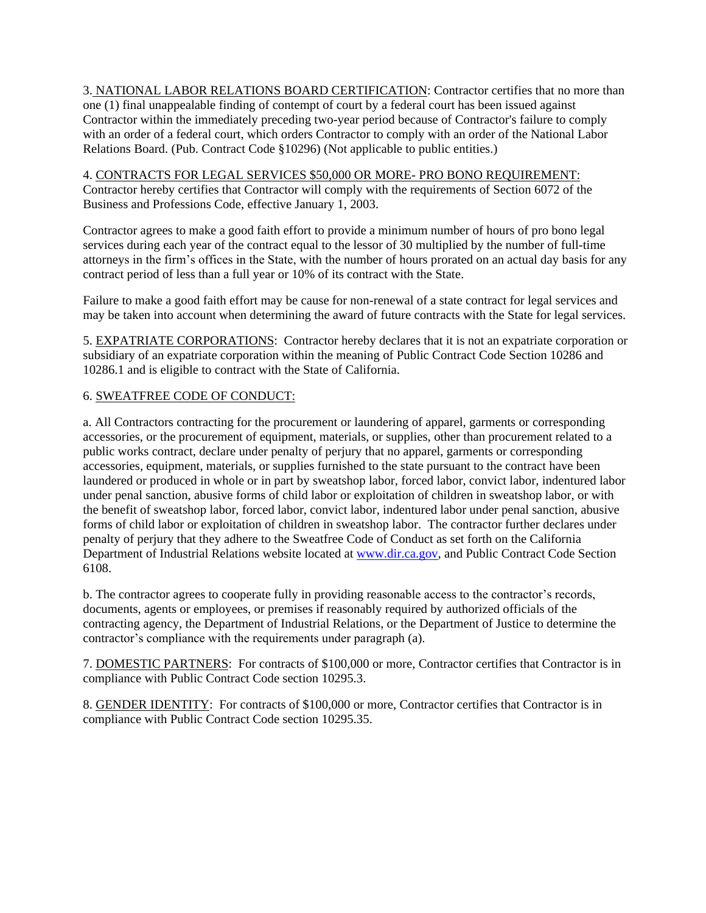3. NATIONAL LABOR RELATIONS BOARD CERTIFICATION: Contractor certifies that no more than one (1) final unappealable finding of contempt of court by a federal court has been issued against Contractor within the immediately preceding two-year period because of Contractor's failure to comply with an order of a federal court, which orders Contractor to comply with an order of the National Labor Relations Board. (Pub. Contract Code §10296) (Not applicable to public entities.)

4. CONTRACTS FOR LEGAL SERVICES \$50,000 OR MORE- PRO BONO REQUIREMENT: Contractor hereby certifies that Contractor will comply with the requirements of Section 6072 of the Business and Professions Code, effective January 1, 2003.

Contractor agrees to make a good faith effort to provide a minimum number of hours of pro bono legal services during each year of the contract equal to the lessor of 30 multiplied by the number of full-time attorneys in the firm's offices in the State, with the number of hours prorated on an actual day basis for any contract period of less than a full year or 10% of its contract with the State.

Failure to make a good faith effort may be cause for non-renewal of a state contract for legal services and may be taken into account when determining the award of future contracts with the State for legal services.

5. EXPATRIATE CORPORATIONS: Contractor hereby declares that it is not an expatriate corporation or subsidiary of an expatriate corporation within the meaning of Public Contract Code Section 10286 and 10286.1 and is eligible to contract with the State of California.

# 6. SWEATFREE CODE OF CONDUCT:

a. All Contractors contracting for the procurement or laundering of apparel, garments or corresponding accessories, or the procurement of equipment, materials, or supplies, other than procurement related to a public works contract, declare under penalty of perjury that no apparel, garments or corresponding accessories, equipment, materials, or supplies furnished to the state pursuant to the contract have been laundered or produced in whole or in part by sweatshop labor, forced labor, convict labor, indentured labor under penal sanction, abusive forms of child labor or exploitation of children in sweatshop labor, or with the benefit of sweatshop labor, forced labor, convict labor, indentured labor under penal sanction, abusive forms of child labor or exploitation of children in sweatshop labor. The contractor further declares under penalty of perjury that they adhere to the Sweatfree Code of Conduct as set forth on the California Department of Industrial Relations website located at [www.dir.ca.gov,](http://www.dir.ca.gov/) and Public Contract Code Section 6108.

b. The contractor agrees to cooperate fully in providing reasonable access to the contractor's records, documents, agents or employees, or premises if reasonably required by authorized officials of the contracting agency, the Department of Industrial Relations, or the Department of Justice to determine the contractor's compliance with the requirements under paragraph (a).

7. DOMESTIC PARTNERS: For contracts of \$100,000 or more, Contractor certifies that Contractor is in compliance with Public Contract Code section 10295.3.

8. GENDER IDENTITY: For contracts of \$100,000 or more, Contractor certifies that Contractor is in compliance with Public Contract Code section 10295.35.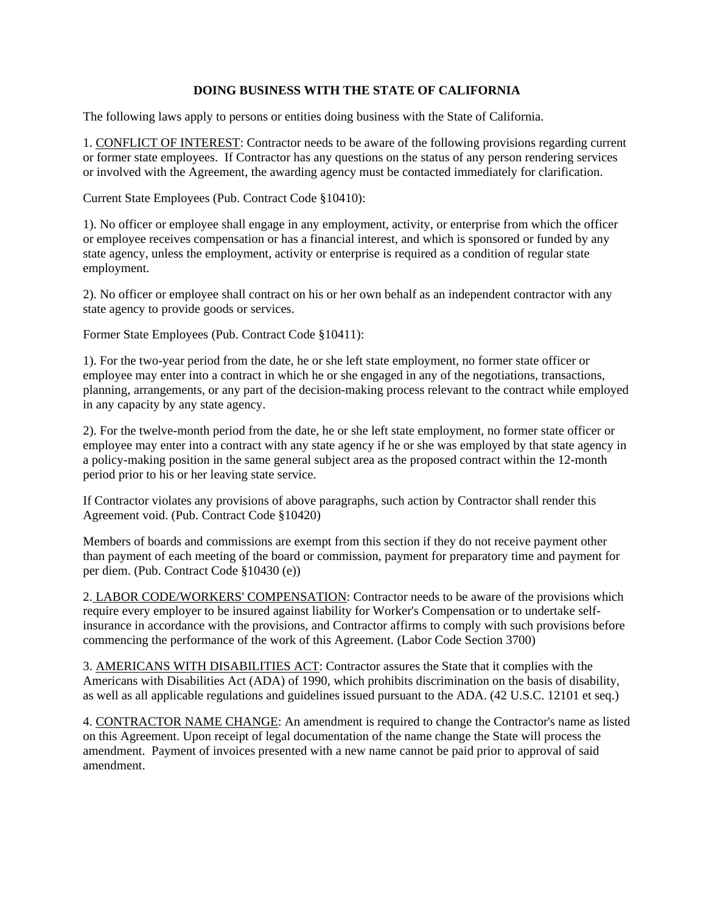#### **DOING BUSINESS WITH THE STATE OF CALIFORNIA**

The following laws apply to persons or entities doing business with the State of California.

1. CONFLICT OF INTEREST: Contractor needs to be aware of the following provisions regarding current or former state employees. If Contractor has any questions on the status of any person rendering services or involved with the Agreement, the awarding agency must be contacted immediately for clarification.

Current State Employees (Pub. Contract Code §10410):

1). No officer or employee shall engage in any employment, activity, or enterprise from which the officer or employee receives compensation or has a financial interest, and which is sponsored or funded by any state agency, unless the employment, activity or enterprise is required as a condition of regular state employment.

2). No officer or employee shall contract on his or her own behalf as an independent contractor with any state agency to provide goods or services.

Former State Employees (Pub. Contract Code §10411):

1). For the two-year period from the date, he or she left state employment, no former state officer or employee may enter into a contract in which he or she engaged in any of the negotiations, transactions, planning, arrangements, or any part of the decision-making process relevant to the contract while employed in any capacity by any state agency.

2). For the twelve-month period from the date, he or she left state employment, no former state officer or employee may enter into a contract with any state agency if he or she was employed by that state agency in a policy-making position in the same general subject area as the proposed contract within the 12-month period prior to his or her leaving state service.

If Contractor violates any provisions of above paragraphs, such action by Contractor shall render this Agreement void. (Pub. Contract Code §10420)

Members of boards and commissions are exempt from this section if they do not receive payment other than payment of each meeting of the board or commission, payment for preparatory time and payment for per diem. (Pub. Contract Code §10430 (e))

2. LABOR CODE/WORKERS' COMPENSATION: Contractor needs to be aware of the provisions which require every employer to be insured against liability for Worker's Compensation or to undertake selfinsurance in accordance with the provisions, and Contractor affirms to comply with such provisions before commencing the performance of the work of this Agreement. (Labor Code Section 3700)

3. AMERICANS WITH DISABILITIES ACT: Contractor assures the State that it complies with the Americans with Disabilities Act (ADA) of 1990, which prohibits discrimination on the basis of disability, as well as all applicable regulations and guidelines issued pursuant to the ADA. (42 U.S.C. 12101 et seq.)

4. CONTRACTOR NAME CHANGE: An amendment is required to change the Contractor's name as listed on this Agreement. Upon receipt of legal documentation of the name change the State will process the amendment. Payment of invoices presented with a new name cannot be paid prior to approval of said amendment.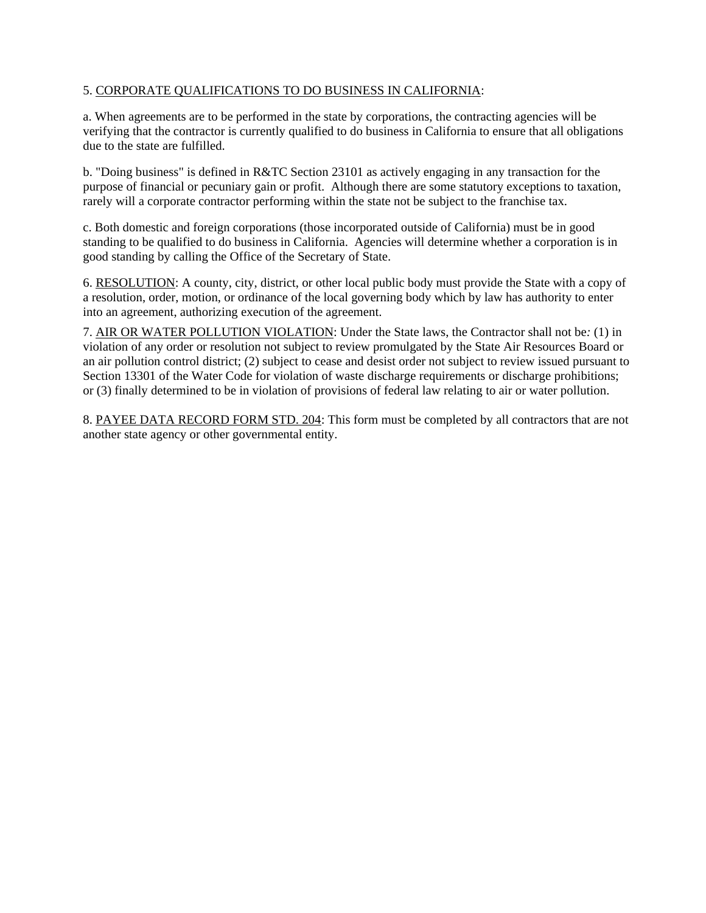## 5. CORPORATE QUALIFICATIONS TO DO BUSINESS IN CALIFORNIA:

a. When agreements are to be performed in the state by corporations, the contracting agencies will be verifying that the contractor is currently qualified to do business in California to ensure that all obligations due to the state are fulfilled.

b. "Doing business" is defined in R&TC Section 23101 as actively engaging in any transaction for the purpose of financial or pecuniary gain or profit. Although there are some statutory exceptions to taxation, rarely will a corporate contractor performing within the state not be subject to the franchise tax.

c. Both domestic and foreign corporations (those incorporated outside of California) must be in good standing to be qualified to do business in California. Agencies will determine whether a corporation is in good standing by calling the Office of the Secretary of State.

6. RESOLUTION: A county, city, district, or other local public body must provide the State with a copy of a resolution, order, motion, or ordinance of the local governing body which by law has authority to enter into an agreement, authorizing execution of the agreement.

7. AIR OR WATER POLLUTION VIOLATION: Under the State laws, the Contractor shall not be*:* (1) in violation of any order or resolution not subject to review promulgated by the State Air Resources Board or an air pollution control district; (2) subject to cease and desist order not subject to review issued pursuant to Section 13301 of the Water Code for violation of waste discharge requirements or discharge prohibitions; or (3) finally determined to be in violation of provisions of federal law relating to air or water pollution.

8. PAYEE DATA RECORD FORM STD. 204: This form must be completed by all contractors that are not another state agency or other governmental entity.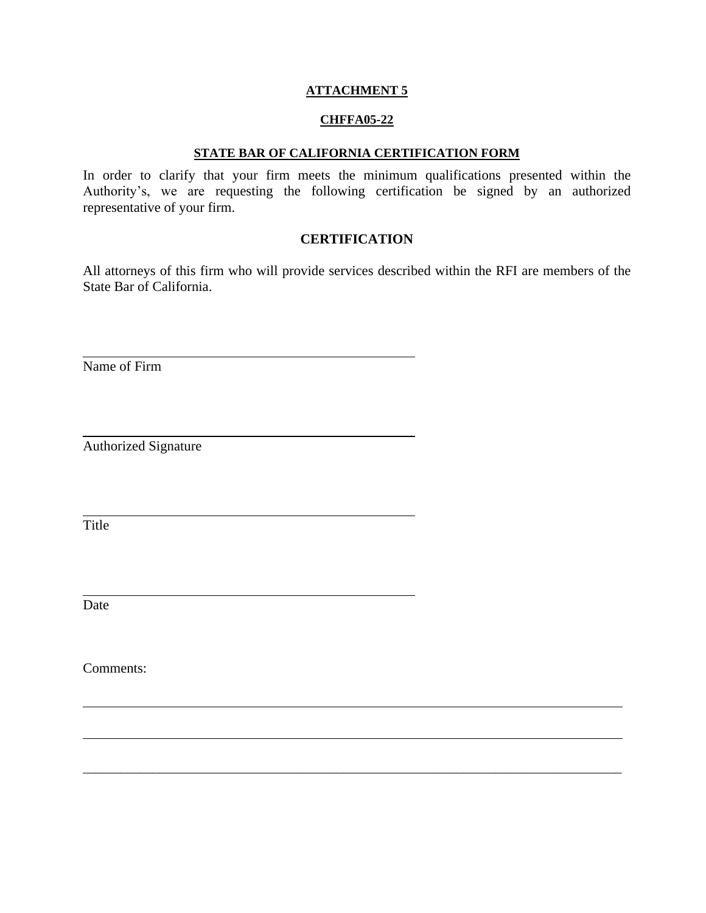#### **CHFFA05-22**

#### **STATE BAR OF CALIFORNIA CERTIFICATION FORM**

In order to clarify that your firm meets the minimum qualifications presented within the Authority's, we are requesting the following certification be signed by an authorized representative of your firm.

## **CERTIFICATION**

All attorneys of this firm who will provide services described within the RFI are members of the State Bar of California.

\_\_\_\_\_\_\_\_\_\_\_\_\_\_\_\_\_\_\_\_\_\_\_\_\_\_\_\_\_\_\_\_\_\_\_\_\_\_\_\_\_\_\_\_\_\_\_\_\_\_\_\_\_\_\_\_\_\_\_\_\_\_\_\_\_\_\_\_\_\_\_\_\_\_\_\_\_\_\_\_\_\_\_\_\_

Name of Firm

Authorized Signature

Title

Date

Comments: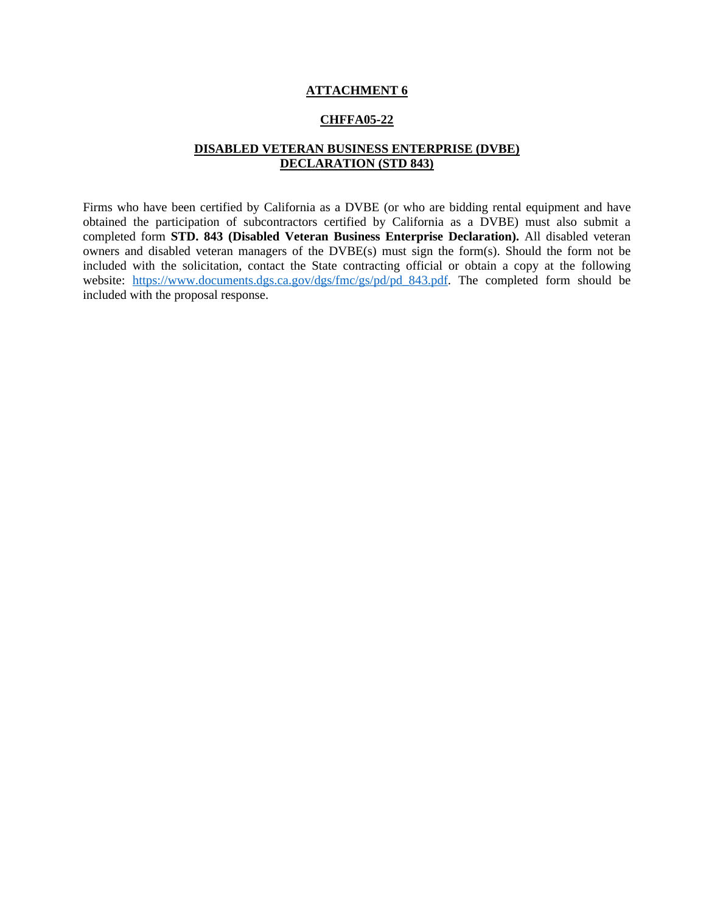#### **CHFFA05-22**

#### **DISABLED VETERAN BUSINESS ENTERPRISE (DVBE) DECLARATION (STD 843)**

Firms who have been certified by California as a DVBE (or who are bidding rental equipment and have obtained the participation of subcontractors certified by California as a DVBE) must also submit a completed form **STD. 843 (Disabled Veteran Business Enterprise Declaration).** All disabled veteran owners and disabled veteran managers of the DVBE(s) must sign the form(s). Should the form not be included with the solicitation, contact the State contracting official or obtain a copy at the following website: [https://www.documents.dgs.ca.gov/dgs/fmc/gs/pd/pd\\_843.pdf.](https://www.documents.dgs.ca.gov/dgs/fmc/gs/pd/pd_843.pdf) The completed form should be included with the proposal response.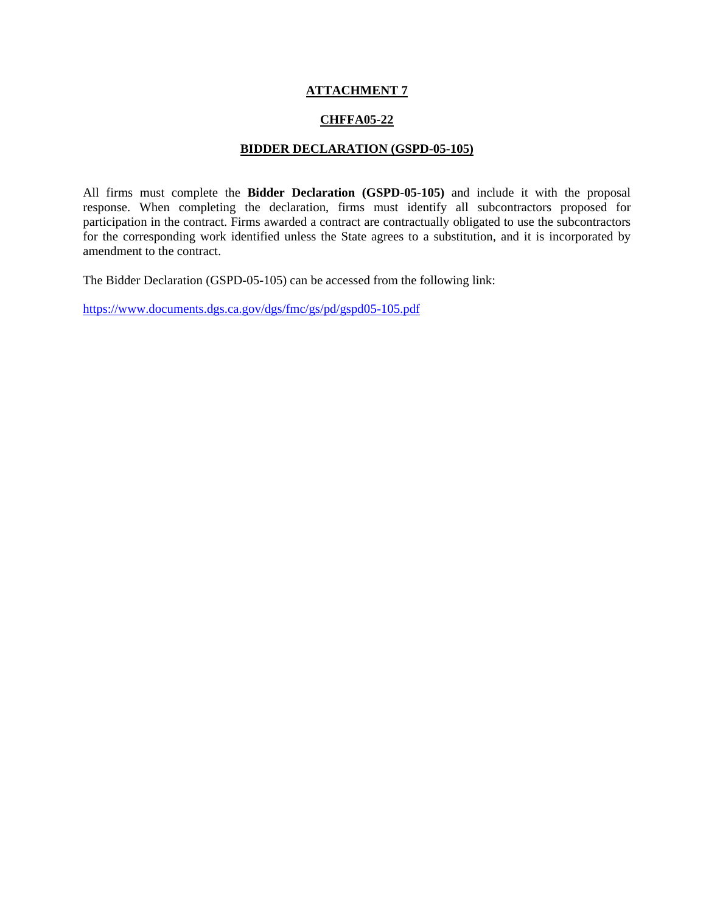## **CHFFA05-22**

#### **BIDDER DECLARATION (GSPD-05-105)**

All firms must complete the **Bidder Declaration (GSPD-05-105)** and include it with the proposal response. When completing the declaration, firms must identify all subcontractors proposed for participation in the contract. Firms awarded a contract are contractually obligated to use the subcontractors for the corresponding work identified unless the State agrees to a substitution, and it is incorporated by amendment to the contract.

The Bidder Declaration (GSPD-05-105) can be accessed from the following link:

<https://www.documents.dgs.ca.gov/dgs/fmc/gs/pd/gspd05-105.pdf>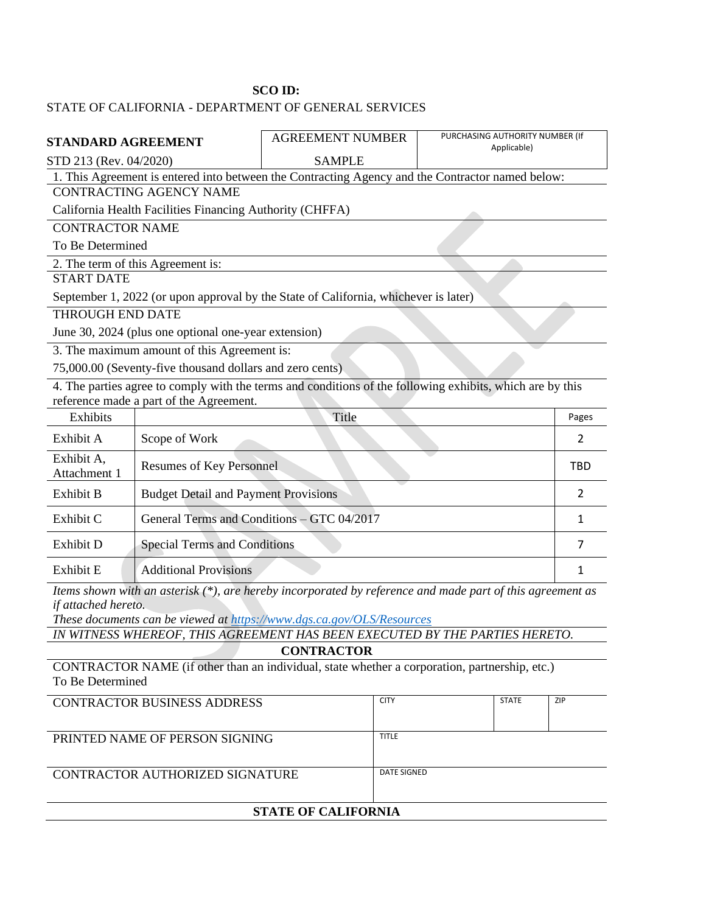#### **SCO ID:**

# STATE OF CALIFORNIA - DEPARTMENT OF GENERAL SERVICES

| STANDARD AGREEMENT                                       |                                                               | <b>AGREEMENT NUMBER</b>                                                                                   | PURCHASING AUTHORITY NUMBER (If<br>Applicable) |            |  |
|----------------------------------------------------------|---------------------------------------------------------------|-----------------------------------------------------------------------------------------------------------|------------------------------------------------|------------|--|
| STD 213 (Rev. 04/2020)                                   |                                                               | <b>SAMPLE</b>                                                                                             |                                                |            |  |
|                                                          |                                                               | 1. This Agreement is entered into between the Contracting Agency and the Contractor named below:          |                                                |            |  |
|                                                          | CONTRACTING AGENCY NAME                                       |                                                                                                           |                                                |            |  |
|                                                          | California Health Facilities Financing Authority (CHFFA)      |                                                                                                           |                                                |            |  |
| <b>CONTRACTOR NAME</b>                                   |                                                               |                                                                                                           |                                                |            |  |
| To Be Determined                                         |                                                               |                                                                                                           |                                                |            |  |
|                                                          | 2. The term of this Agreement is:                             |                                                                                                           |                                                |            |  |
| <b>START DATE</b>                                        |                                                               |                                                                                                           |                                                |            |  |
|                                                          |                                                               | September 1, 2022 (or upon approval by the State of California, whichever is later)                       |                                                |            |  |
| <b>THROUGH END DATE</b>                                  |                                                               |                                                                                                           |                                                |            |  |
| June 30, 2024 (plus one optional one-year extension)     |                                                               |                                                                                                           |                                                |            |  |
| 3. The maximum amount of this Agreement is:              |                                                               |                                                                                                           |                                                |            |  |
| 75,000.00 (Seventy-five thousand dollars and zero cents) |                                                               |                                                                                                           |                                                |            |  |
|                                                          | reference made a part of the Agreement.                       | 4. The parties agree to comply with the terms and conditions of the following exhibits, which are by this |                                                |            |  |
| <b>Exhibits</b>                                          |                                                               | Title                                                                                                     |                                                | Pages      |  |
| Exhibit A                                                | Scope of Work                                                 |                                                                                                           |                                                | 2          |  |
| Exhibit A,<br>Attachment 1                               | <b>Resumes of Key Personnel</b>                               |                                                                                                           |                                                | <b>TBD</b> |  |
| Exhibit B                                                | <b>Budget Detail and Payment Provisions</b><br>$\overline{2}$ |                                                                                                           |                                                |            |  |
| Exhibit C                                                | General Terms and Conditions - GTC 04/2017                    |                                                                                                           |                                                | 1          |  |
| Exhibit D                                                | <b>Special Terms and Conditions</b>                           |                                                                                                           |                                                | 7          |  |
| Exhibit E                                                | <b>Additional Provisions</b>                                  |                                                                                                           |                                                | 1          |  |
| $\cdot$ .                                                |                                                               | $\mathbf{1}$<br>$\epsilon$                                                                                | $\mathbf{r}$<br>$\mathbf{r}$<br>$C \cdot T$    |            |  |

*Items shown with an asterisk (\*), are hereby incorporated by reference and made part of this agreement as if attached hereto.* 

*These documents can be viewed at<https://www.dgs.ca.gov/OLS/Resources>*

*IN WITNESS WHEREOF, THIS AGREEMENT HAS BEEN EXECUTED BY THE PARTIES HERETO.* **CONTRACTOR**

CONTRACTOR NAME (if other than an individual, state whether a corporation, partnership, etc.) To Be Determined

| <b>STATE OF CALIFORNIA</b>         |              |              |     |
|------------------------------------|--------------|--------------|-----|
| CONTRACTOR AUTHORIZED SIGNATURE    | DATE SIGNED  |              |     |
| PRINTED NAME OF PERSON SIGNING     |              |              |     |
|                                    | <b>TITLE</b> |              |     |
|                                    |              |              |     |
| <b>CONTRACTOR BUSINESS ADDRESS</b> | <b>CITY</b>  | <b>STATE</b> | ZIP |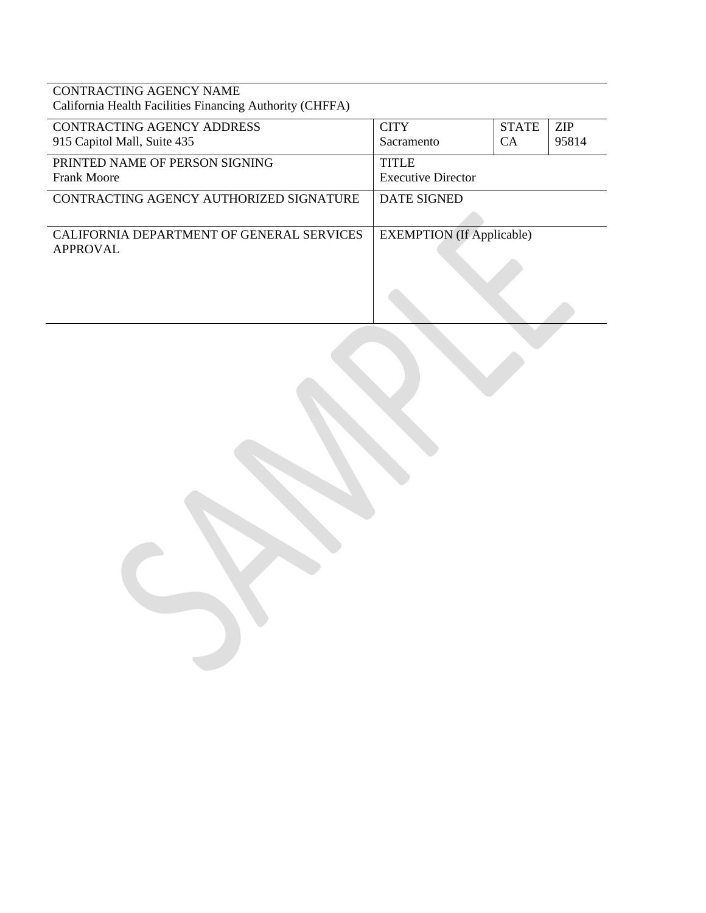CONTRACTING AGENCY NAME California Health Facilities Financing Authority (CHFFA)

| <b>CONTRACTING AGENCY ADDRESS</b><br>915 Capitol Mall, Suite 435 | <b>CITY</b><br>Sacramento                 | <b>STATE</b><br><b>CA</b> | <b>ZIP</b><br>95814 |
|------------------------------------------------------------------|-------------------------------------------|---------------------------|---------------------|
| PRINTED NAME OF PERSON SIGNING<br><b>Frank Moore</b>             | <b>TITLE</b><br><b>Executive Director</b> |                           |                     |
| CONTRACTING AGENCY AUTHORIZED SIGNATURE                          | <b>DATE SIGNED</b>                        |                           |                     |
| CALIFORNIA DEPARTMENT OF GENERAL SERVICES<br>APPROVAL            | <b>EXEMPTION</b> (If Applicable)          |                           |                     |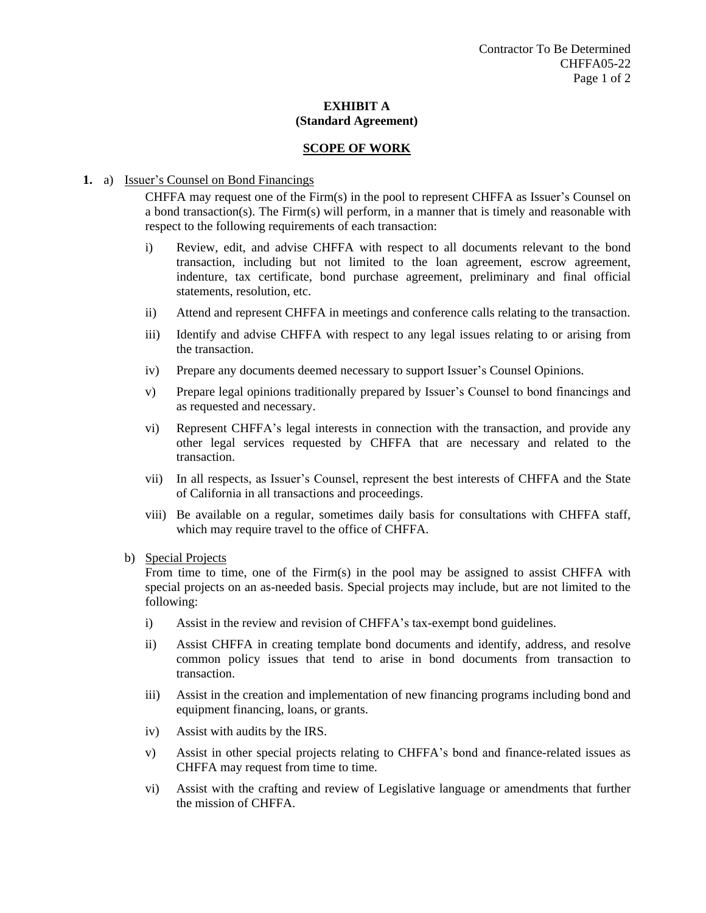#### **SCOPE OF WORK**

#### **1.** a) Issuer's Counsel on Bond Financings

CHFFA may request one of the Firm(s) in the pool to represent CHFFA as Issuer's Counsel on a bond transaction(s). The Firm(s) will perform, in a manner that is timely and reasonable with respect to the following requirements of each transaction:

- i) Review, edit, and advise CHFFA with respect to all documents relevant to the bond transaction, including but not limited to the loan agreement, escrow agreement, indenture, tax certificate, bond purchase agreement, preliminary and final official statements, resolution, etc.
- ii) Attend and represent CHFFA in meetings and conference calls relating to the transaction.
- iii) Identify and advise CHFFA with respect to any legal issues relating to or arising from the transaction.
- iv) Prepare any documents deemed necessary to support Issuer's Counsel Opinions.
- v) Prepare legal opinions traditionally prepared by Issuer's Counsel to bond financings and as requested and necessary.
- vi) Represent CHFFA's legal interests in connection with the transaction, and provide any other legal services requested by CHFFA that are necessary and related to the transaction.
- vii) In all respects, as Issuer's Counsel, represent the best interests of CHFFA and the State of California in all transactions and proceedings.
- viii) Be available on a regular, sometimes daily basis for consultations with CHFFA staff, which may require travel to the office of CHFFA.

#### b) Special Projects

From time to time, one of the Firm(s) in the pool may be assigned to assist CHFFA with special projects on an as-needed basis. Special projects may include, but are not limited to the following:

- i) Assist in the review and revision of CHFFA's tax-exempt bond guidelines.
- ii) Assist CHFFA in creating template bond documents and identify, address, and resolve common policy issues that tend to arise in bond documents from transaction to transaction.
- iii) Assist in the creation and implementation of new financing programs including bond and equipment financing, loans, or grants.
- iv) Assist with audits by the IRS.
- v) Assist in other special projects relating to CHFFA's bond and finance-related issues as CHFFA may request from time to time.
- vi) Assist with the crafting and review of Legislative language or amendments that further the mission of CHFFA.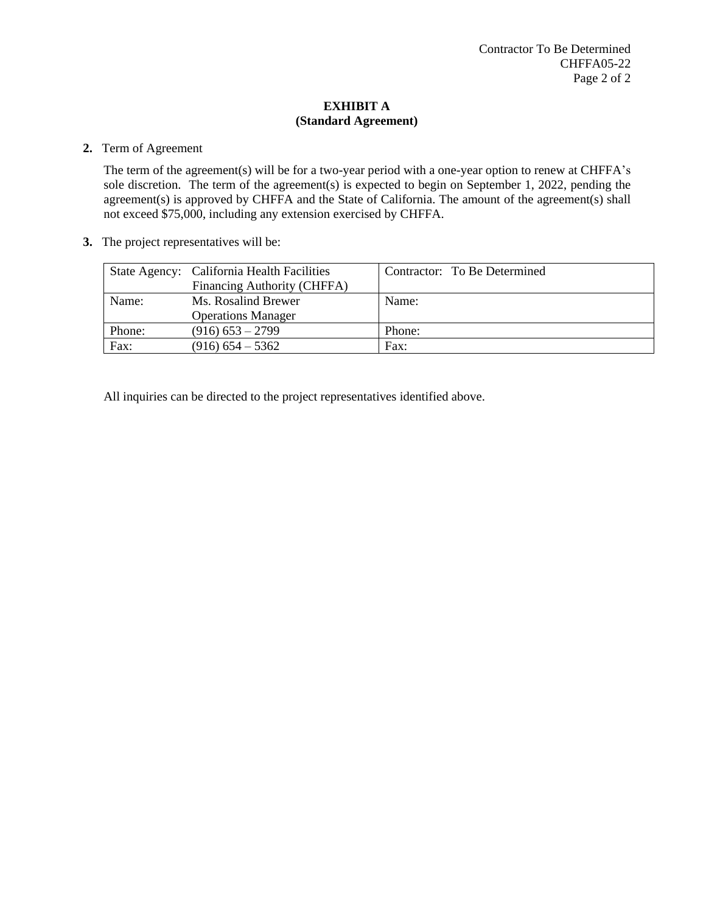# **2.** Term of Agreement

The term of the agreement(s) will be for a two-year period with a one-year option to renew at CHFFA's sole discretion. The term of the agreement(s) is expected to begin on September 1, 2022, pending the agreement(s) is approved by CHFFA and the State of California. The amount of the agreement(s) shall not exceed \$75,000, including any extension exercised by CHFFA.

**3.** The project representatives will be:

|        | State Agency: California Health Facilities | Contractor: To Be Determined |
|--------|--------------------------------------------|------------------------------|
|        | Financing Authority (CHFFA)                |                              |
| Name:  | Ms. Rosalind Brewer                        | Name:                        |
|        | <b>Operations Manager</b>                  |                              |
| Phone: | $(916)$ 653 – 2799                         | Phone:                       |
| Fax:   | $(916)$ 654 – 5362                         | Fax:                         |

All inquiries can be directed to the project representatives identified above.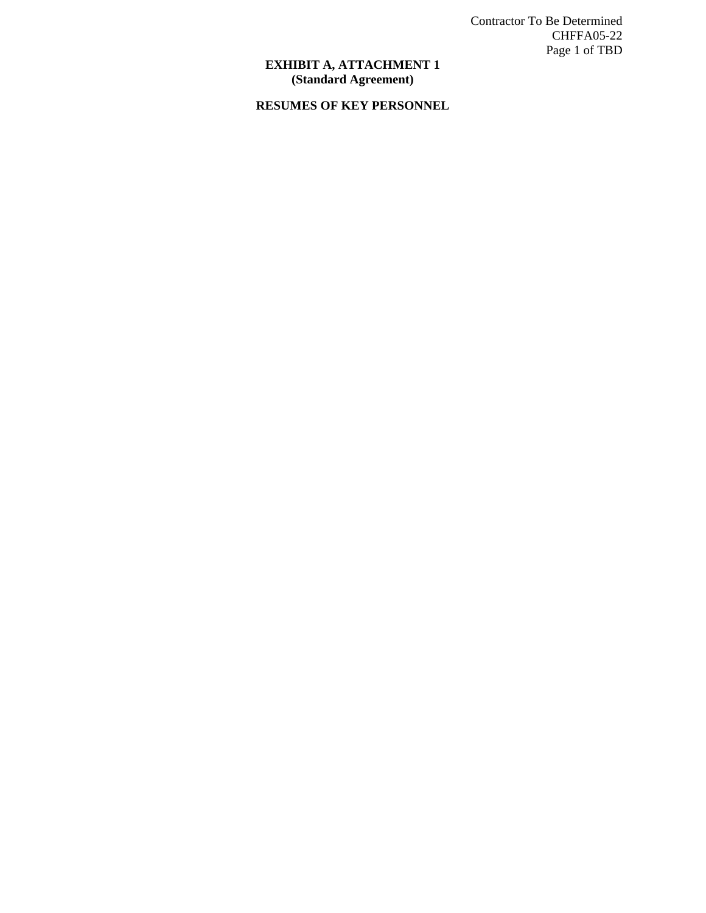Contractor To Be Determined CHFFA05-22 Page 1 of TBD

#### **EXHIBIT A, ATTACHMENT 1 (Standard Agreement)**

# **RESUMES OF KEY PERSONNEL**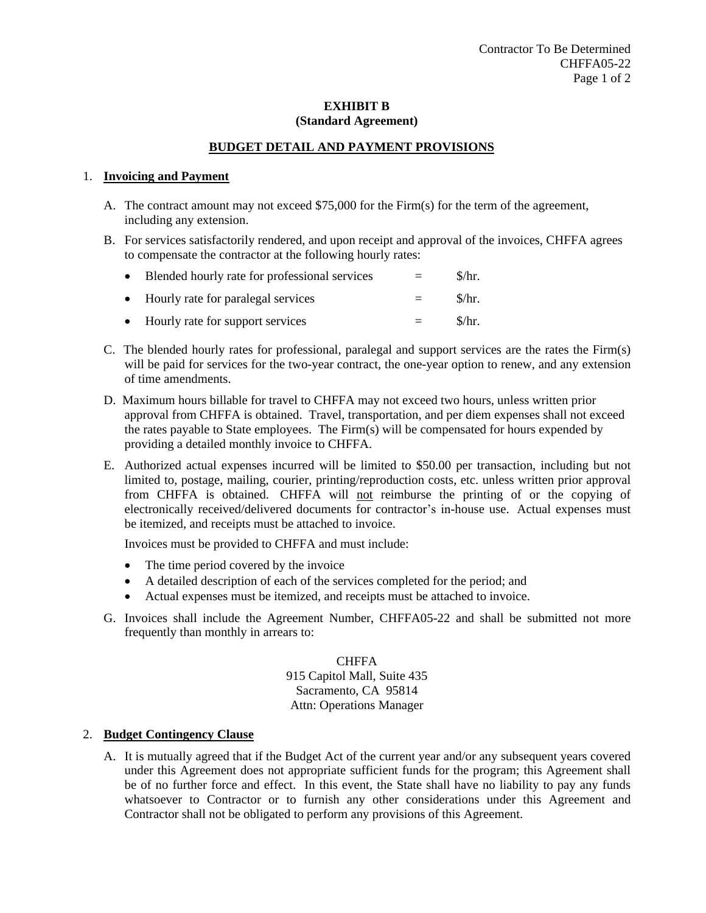## **BUDGET DETAIL AND PAYMENT PROVISIONS**

#### 1. **Invoicing and Payment**

- A. The contract amount may not exceed \$75,000 for the Firm(s) for the term of the agreement, including any extension.
- B. For services satisfactorily rendered, and upon receipt and approval of the invoices, CHFFA agrees to compensate the contractor at the following hourly rates:

| $\bullet$ | Blended hourly rate for professional services | $=$ | $\frac{\mathrm{S}}{\mathrm{F}}$ . |
|-----------|-----------------------------------------------|-----|-----------------------------------|
|           | • Hourly rate for paralegal services          | $=$ | \$/hr.                            |
|           | • Hourly rate for support services            | $=$ | $\frac{\pi}{3}$                   |

- C. The blended hourly rates for professional, paralegal and support services are the rates the Firm(s) will be paid for services for the two-year contract, the one-year option to renew, and any extension of time amendments.
- D. Maximum hours billable for travel to CHFFA may not exceed two hours, unless written prior approval from CHFFA is obtained. Travel, transportation, and per diem expenses shall not exceed the rates payable to State employees. The Firm(s) will be compensated for hours expended by providing a detailed monthly invoice to CHFFA.
- E. Authorized actual expenses incurred will be limited to \$50.00 per transaction, including but not limited to, postage, mailing, courier, printing/reproduction costs, etc. unless written prior approval from CHFFA is obtained. CHFFA will not reimburse the printing of or the copying of electronically received/delivered documents for contractor's in-house use. Actual expenses must be itemized, and receipts must be attached to invoice.

Invoices must be provided to CHFFA and must include:

- The time period covered by the invoice
- A detailed description of each of the services completed for the period; and
- Actual expenses must be itemized, and receipts must be attached to invoice.
- G. Invoices shall include the Agreement Number, CHFFA05-22 and shall be submitted not more frequently than monthly in arrears to:

**CHFFA** 915 Capitol Mall, Suite 435 Sacramento, CA 95814 Attn: Operations Manager

#### 2. **Budget Contingency Clause**

A. It is mutually agreed that if the Budget Act of the current year and/or any subsequent years covered under this Agreement does not appropriate sufficient funds for the program; this Agreement shall be of no further force and effect. In this event, the State shall have no liability to pay any funds whatsoever to Contractor or to furnish any other considerations under this Agreement and Contractor shall not be obligated to perform any provisions of this Agreement.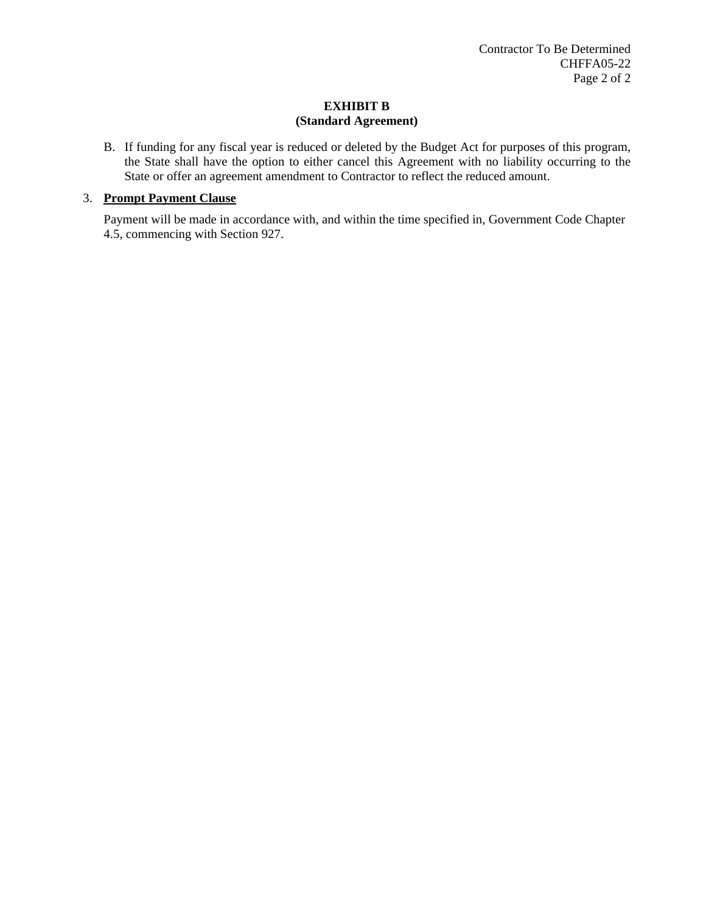B. If funding for any fiscal year is reduced or deleted by the Budget Act for purposes of this program, the State shall have the option to either cancel this Agreement with no liability occurring to the State or offer an agreement amendment to Contractor to reflect the reduced amount.

### 3. **Prompt Payment Clause**

Payment will be made in accordance with, and within the time specified in, Government Code Chapter 4.5, commencing with Section 927.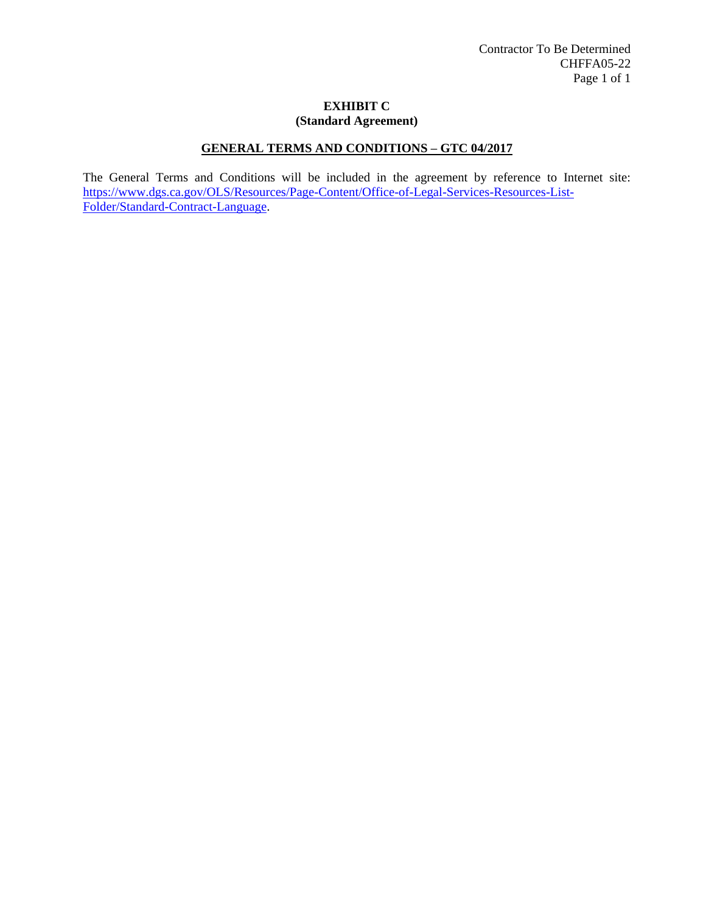# **GENERAL TERMS AND CONDITIONS – GTC 04/2017**

The General Terms and Conditions will be included in the agreement by reference to Internet site: [https://www.dgs.ca.gov/OLS/Resources/Page-Content/Office-of-Legal-Services-Resources-List-](https://www.dgs.ca.gov/OLS/Resources/Page-Content/Office-of-Legal-Services-Resources-List-Folder/Standard-Contract-Language)[Folder/Standard-Contract-Language.](https://www.dgs.ca.gov/OLS/Resources/Page-Content/Office-of-Legal-Services-Resources-List-Folder/Standard-Contract-Language)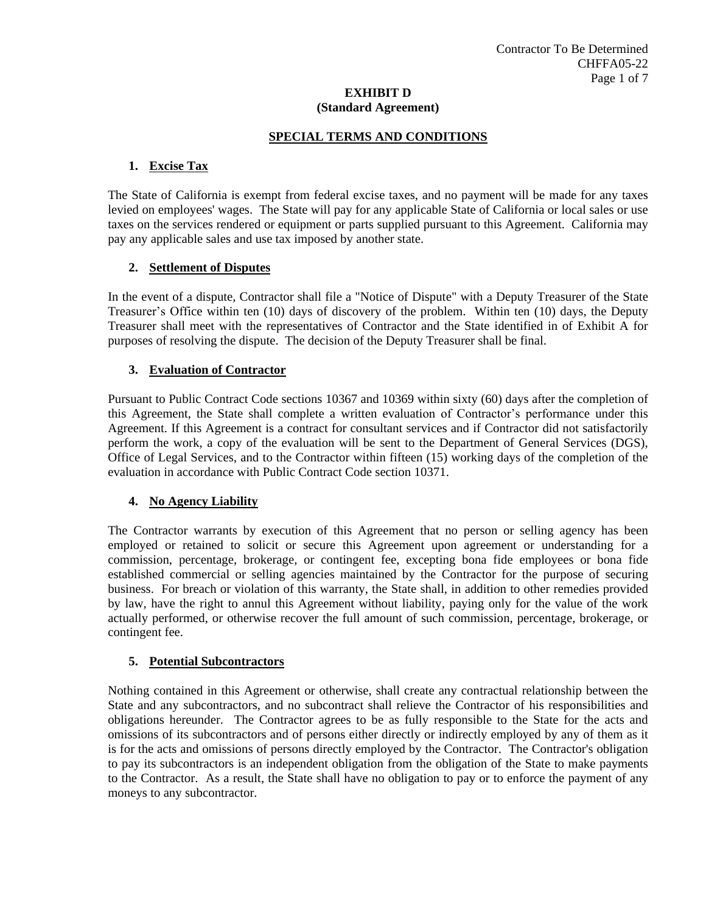## **SPECIAL TERMS AND CONDITIONS**

### **1. Excise Tax**

The State of California is exempt from federal excise taxes, and no payment will be made for any taxes levied on employees' wages. The State will pay for any applicable State of California or local sales or use taxes on the services rendered or equipment or parts supplied pursuant to this Agreement. California may pay any applicable sales and use tax imposed by another state.

#### **2. Settlement of Disputes**

In the event of a dispute, Contractor shall file a "Notice of Dispute" with a Deputy Treasurer of the State Treasurer's Office within ten (10) days of discovery of the problem. Within ten (10) days, the Deputy Treasurer shall meet with the representatives of Contractor and the State identified in of Exhibit A for purposes of resolving the dispute. The decision of the Deputy Treasurer shall be final.

## **3. Evaluation of Contractor**

Pursuant to Public Contract Code sections 10367 and 10369 within sixty (60) days after the completion of this Agreement, the State shall complete a written evaluation of Contractor's performance under this Agreement. If this Agreement is a contract for consultant services and if Contractor did not satisfactorily perform the work, a copy of the evaluation will be sent to the Department of General Services (DGS), Office of Legal Services, and to the Contractor within fifteen (15) working days of the completion of the evaluation in accordance with Public Contract Code section 10371.

#### **4. No Agency Liability**

The Contractor warrants by execution of this Agreement that no person or selling agency has been employed or retained to solicit or secure this Agreement upon agreement or understanding for a commission, percentage, brokerage, or contingent fee, excepting bona fide employees or bona fide established commercial or selling agencies maintained by the Contractor for the purpose of securing business. For breach or violation of this warranty, the State shall, in addition to other remedies provided by law, have the right to annul this Agreement without liability, paying only for the value of the work actually performed, or otherwise recover the full amount of such commission, percentage, brokerage, or contingent fee.

#### **5. Potential Subcontractors**

Nothing contained in this Agreement or otherwise, shall create any contractual relationship between the State and any subcontractors, and no subcontract shall relieve the Contractor of his responsibilities and obligations hereunder. The Contractor agrees to be as fully responsible to the State for the acts and omissions of its subcontractors and of persons either directly or indirectly employed by any of them as it is for the acts and omissions of persons directly employed by the Contractor. The Contractor's obligation to pay its subcontractors is an independent obligation from the obligation of the State to make payments to the Contractor. As a result, the State shall have no obligation to pay or to enforce the payment of any moneys to any subcontractor.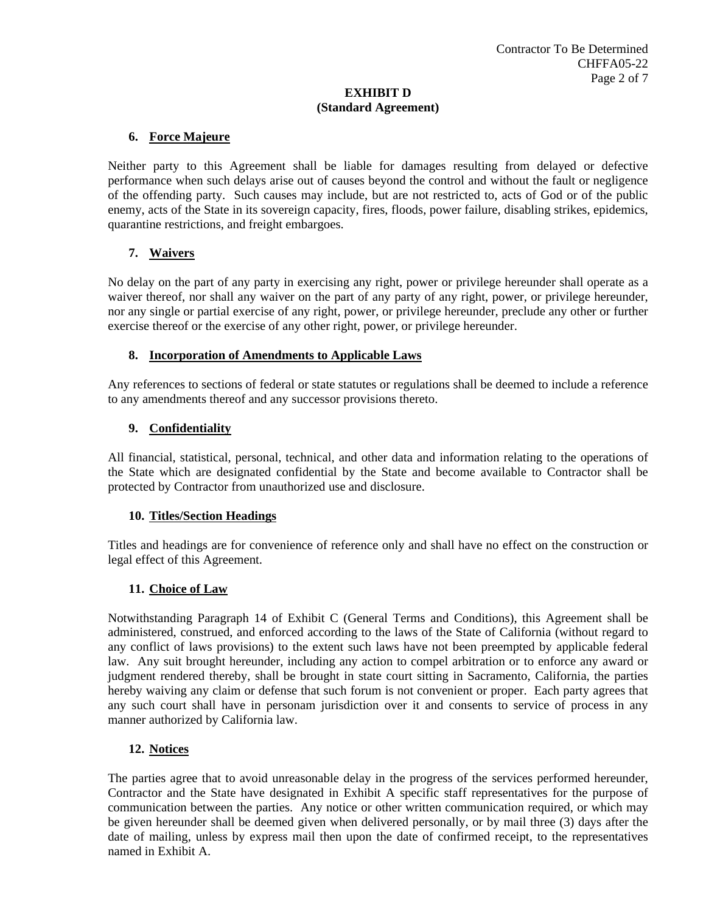# **6. Force Majeure**

Neither party to this Agreement shall be liable for damages resulting from delayed or defective performance when such delays arise out of causes beyond the control and without the fault or negligence of the offending party. Such causes may include, but are not restricted to, acts of God or of the public enemy, acts of the State in its sovereign capacity, fires, floods, power failure, disabling strikes, epidemics, quarantine restrictions, and freight embargoes.

# **7. Waivers**

No delay on the part of any party in exercising any right, power or privilege hereunder shall operate as a waiver thereof, nor shall any waiver on the part of any party of any right, power, or privilege hereunder, nor any single or partial exercise of any right, power, or privilege hereunder, preclude any other or further exercise thereof or the exercise of any other right, power, or privilege hereunder.

## **8. Incorporation of Amendments to Applicable Laws**

Any references to sections of federal or state statutes or regulations shall be deemed to include a reference to any amendments thereof and any successor provisions thereto.

# **9. Confidentiality**

All financial, statistical, personal, technical, and other data and information relating to the operations of the State which are designated confidential by the State and become available to Contractor shall be protected by Contractor from unauthorized use and disclosure.

#### **10. Titles/Section Headings**

Titles and headings are for convenience of reference only and shall have no effect on the construction or legal effect of this Agreement.

# **11. Choice of Law**

Notwithstanding Paragraph 14 of Exhibit C (General Terms and Conditions), this Agreement shall be administered, construed, and enforced according to the laws of the State of California (without regard to any conflict of laws provisions) to the extent such laws have not been preempted by applicable federal law. Any suit brought hereunder, including any action to compel arbitration or to enforce any award or judgment rendered thereby, shall be brought in state court sitting in Sacramento, California, the parties hereby waiving any claim or defense that such forum is not convenient or proper. Each party agrees that any such court shall have in personam jurisdiction over it and consents to service of process in any manner authorized by California law.

# **12. Notices**

The parties agree that to avoid unreasonable delay in the progress of the services performed hereunder, Contractor and the State have designated in Exhibit A specific staff representatives for the purpose of communication between the parties. Any notice or other written communication required, or which may be given hereunder shall be deemed given when delivered personally, or by mail three (3) days after the date of mailing, unless by express mail then upon the date of confirmed receipt, to the representatives named in Exhibit A.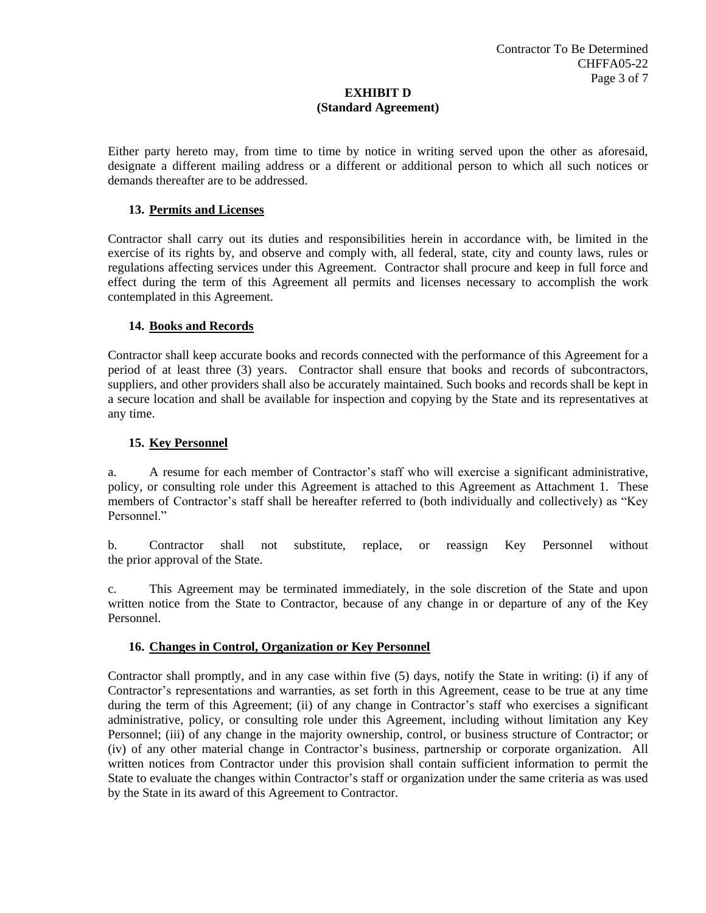Either party hereto may, from time to time by notice in writing served upon the other as aforesaid, designate a different mailing address or a different or additional person to which all such notices or demands thereafter are to be addressed.

### **13. Permits and Licenses**

Contractor shall carry out its duties and responsibilities herein in accordance with, be limited in the exercise of its rights by, and observe and comply with, all federal, state, city and county laws, rules or regulations affecting services under this Agreement. Contractor shall procure and keep in full force and effect during the term of this Agreement all permits and licenses necessary to accomplish the work contemplated in this Agreement.

## **14. Books and Records**

Contractor shall keep accurate books and records connected with the performance of this Agreement for a period of at least three (3) years. Contractor shall ensure that books and records of subcontractors, suppliers, and other providers shall also be accurately maintained. Such books and records shall be kept in a secure location and shall be available for inspection and copying by the State and its representatives at any time.

## **15. Key Personnel**

a. A resume for each member of Contractor's staff who will exercise a significant administrative, policy, or consulting role under this Agreement is attached to this Agreement as Attachment 1. These members of Contractor's staff shall be hereafter referred to (both individually and collectively) as "Key Personnel."

b. Contractor shall not substitute, replace, or reassign Key Personnel without the prior approval of the State.

c. This Agreement may be terminated immediately, in the sole discretion of the State and upon written notice from the State to Contractor, because of any change in or departure of any of the Key Personnel.

#### **16. Changes in Control, Organization or Key Personnel**

Contractor shall promptly, and in any case within five (5) days, notify the State in writing: (i) if any of Contractor's representations and warranties, as set forth in this Agreement, cease to be true at any time during the term of this Agreement; (ii) of any change in Contractor's staff who exercises a significant administrative, policy, or consulting role under this Agreement, including without limitation any Key Personnel; (iii) of any change in the majority ownership, control, or business structure of Contractor; or (iv) of any other material change in Contractor's business, partnership or corporate organization. All written notices from Contractor under this provision shall contain sufficient information to permit the State to evaluate the changes within Contractor's staff or organization under the same criteria as was used by the State in its award of this Agreement to Contractor.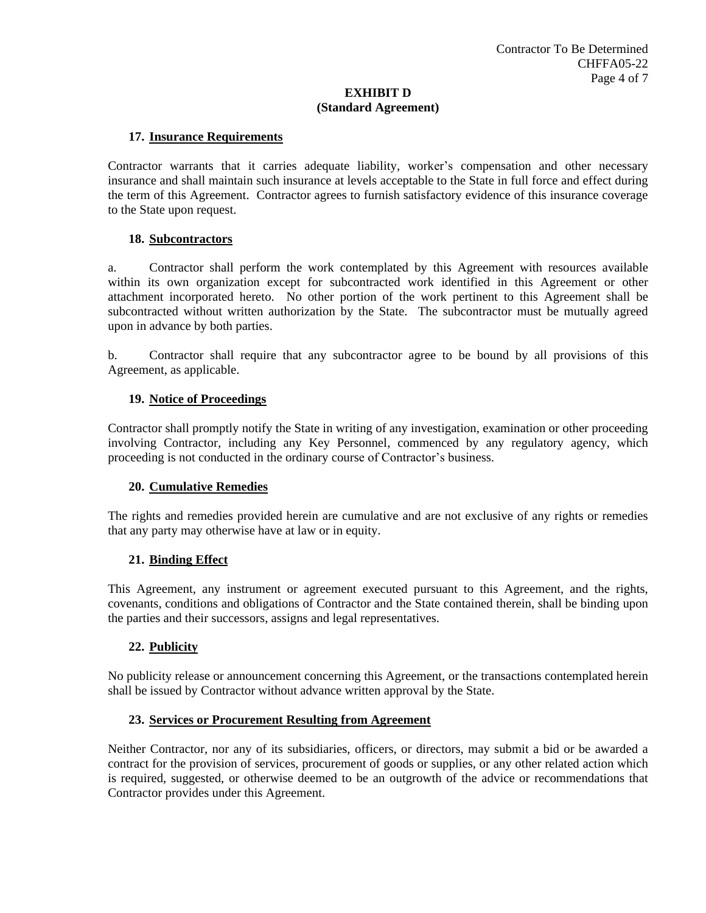## **17. Insurance Requirements**

Contractor warrants that it carries adequate liability, worker's compensation and other necessary insurance and shall maintain such insurance at levels acceptable to the State in full force and effect during the term of this Agreement. Contractor agrees to furnish satisfactory evidence of this insurance coverage to the State upon request.

## **18. Subcontractors**

a. Contractor shall perform the work contemplated by this Agreement with resources available within its own organization except for subcontracted work identified in this Agreement or other attachment incorporated hereto. No other portion of the work pertinent to this Agreement shall be subcontracted without written authorization by the State. The subcontractor must be mutually agreed upon in advance by both parties.

b. Contractor shall require that any subcontractor agree to be bound by all provisions of this Agreement, as applicable.

## **19. Notice of Proceedings**

Contractor shall promptly notify the State in writing of any investigation, examination or other proceeding involving Contractor, including any Key Personnel, commenced by any regulatory agency, which proceeding is not conducted in the ordinary course of Contractor's business.

#### **20. Cumulative Remedies**

The rights and remedies provided herein are cumulative and are not exclusive of any rights or remedies that any party may otherwise have at law or in equity.

#### **21. Binding Effect**

This Agreement, any instrument or agreement executed pursuant to this Agreement, and the rights, covenants, conditions and obligations of Contractor and the State contained therein, shall be binding upon the parties and their successors, assigns and legal representatives.

# **22. Publicity**

No publicity release or announcement concerning this Agreement, or the transactions contemplated herein shall be issued by Contractor without advance written approval by the State.

#### **23. Services or Procurement Resulting from Agreement**

Neither Contractor, nor any of its subsidiaries, officers, or directors, may submit a bid or be awarded a contract for the provision of services, procurement of goods or supplies, or any other related action which is required, suggested, or otherwise deemed to be an outgrowth of the advice or recommendations that Contractor provides under this Agreement.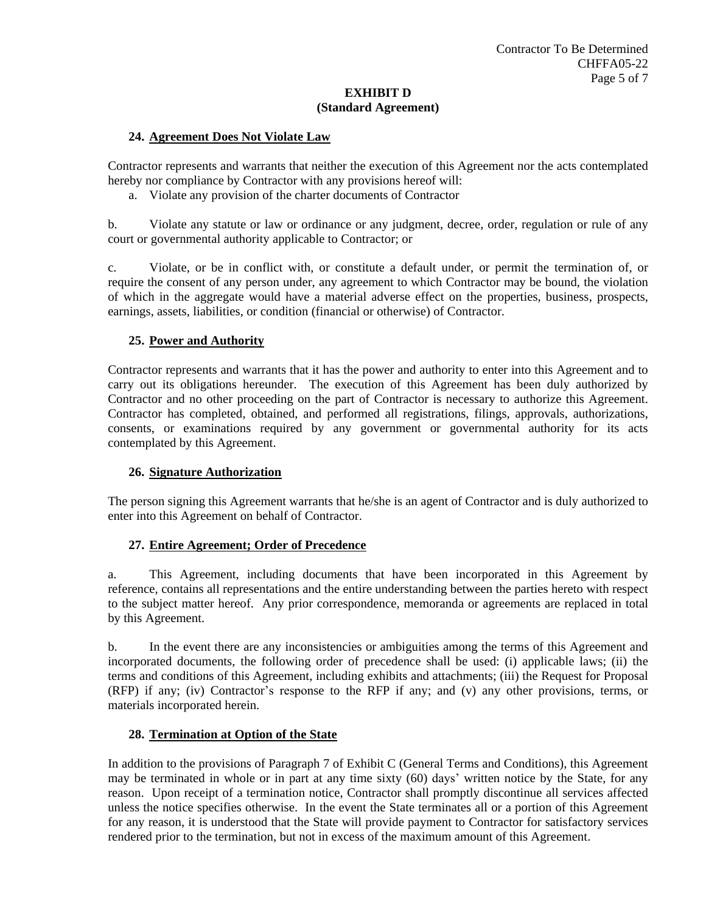#### **24. Agreement Does Not Violate Law**

Contractor represents and warrants that neither the execution of this Agreement nor the acts contemplated hereby nor compliance by Contractor with any provisions hereof will:

a. Violate any provision of the charter documents of Contractor

b. Violate any statute or law or ordinance or any judgment, decree, order, regulation or rule of any court or governmental authority applicable to Contractor; or

c. Violate, or be in conflict with, or constitute a default under, or permit the termination of, or require the consent of any person under, any agreement to which Contractor may be bound, the violation of which in the aggregate would have a material adverse effect on the properties, business, prospects, earnings, assets, liabilities, or condition (financial or otherwise) of Contractor.

#### **25. Power and Authority**

Contractor represents and warrants that it has the power and authority to enter into this Agreement and to carry out its obligations hereunder. The execution of this Agreement has been duly authorized by Contractor and no other proceeding on the part of Contractor is necessary to authorize this Agreement. Contractor has completed, obtained, and performed all registrations, filings, approvals, authorizations, consents, or examinations required by any government or governmental authority for its acts contemplated by this Agreement.

# **26. Signature Authorization**

The person signing this Agreement warrants that he/she is an agent of Contractor and is duly authorized to enter into this Agreement on behalf of Contractor.

#### **27. Entire Agreement; Order of Precedence**

a. This Agreement, including documents that have been incorporated in this Agreement by reference, contains all representations and the entire understanding between the parties hereto with respect to the subject matter hereof. Any prior correspondence, memoranda or agreements are replaced in total by this Agreement.

b. In the event there are any inconsistencies or ambiguities among the terms of this Agreement and incorporated documents, the following order of precedence shall be used: (i) applicable laws; (ii) the terms and conditions of this Agreement, including exhibits and attachments; (iii) the Request for Proposal (RFP) if any; (iv) Contractor's response to the RFP if any; and (v) any other provisions, terms, or materials incorporated herein.

#### **28. Termination at Option of the State**

In addition to the provisions of Paragraph 7 of Exhibit C (General Terms and Conditions), this Agreement may be terminated in whole or in part at any time sixty (60) days' written notice by the State, for any reason. Upon receipt of a termination notice, Contractor shall promptly discontinue all services affected unless the notice specifies otherwise. In the event the State terminates all or a portion of this Agreement for any reason, it is understood that the State will provide payment to Contractor for satisfactory services rendered prior to the termination, but not in excess of the maximum amount of this Agreement.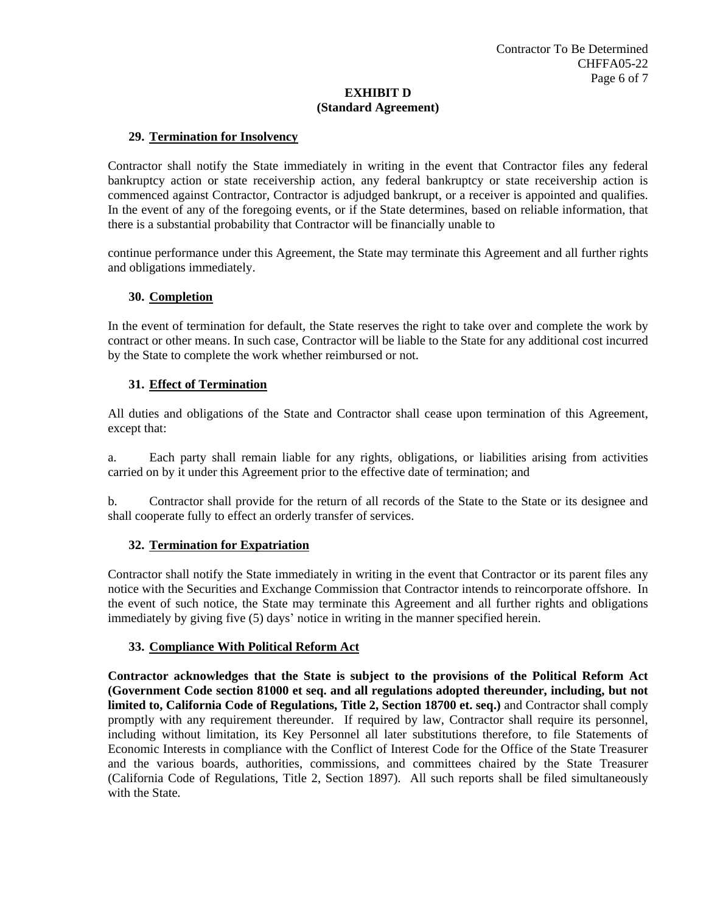### **29. Termination for Insolvency**

Contractor shall notify the State immediately in writing in the event that Contractor files any federal bankruptcy action or state receivership action, any federal bankruptcy or state receivership action is commenced against Contractor, Contractor is adjudged bankrupt, or a receiver is appointed and qualifies. In the event of any of the foregoing events, or if the State determines, based on reliable information, that there is a substantial probability that Contractor will be financially unable to

continue performance under this Agreement, the State may terminate this Agreement and all further rights and obligations immediately.

#### **30. Completion**

In the event of termination for default, the State reserves the right to take over and complete the work by contract or other means. In such case, Contractor will be liable to the State for any additional cost incurred by the State to complete the work whether reimbursed or not.

## **31. Effect of Termination**

All duties and obligations of the State and Contractor shall cease upon termination of this Agreement, except that:

a. Each party shall remain liable for any rights, obligations, or liabilities arising from activities carried on by it under this Agreement prior to the effective date of termination; and

b. Contractor shall provide for the return of all records of the State to the State or its designee and shall cooperate fully to effect an orderly transfer of services.

# **32. Termination for Expatriation**

Contractor shall notify the State immediately in writing in the event that Contractor or its parent files any notice with the Securities and Exchange Commission that Contractor intends to reincorporate offshore. In the event of such notice, the State may terminate this Agreement and all further rights and obligations immediately by giving five (5) days' notice in writing in the manner specified herein.

#### **33. Compliance With Political Reform Act**

**Contractor acknowledges that the State is subject to the provisions of the Political Reform Act (Government Code section 81000 et seq. and all regulations adopted thereunder, including, but not limited to, California Code of Regulations, Title 2, Section 18700 et. seq.)** and Contractor shall comply promptly with any requirement thereunder. If required by law, Contractor shall require its personnel, including without limitation, its Key Personnel all later substitutions therefore, to file Statements of Economic Interests in compliance with the Conflict of Interest Code for the Office of the State Treasurer and the various boards, authorities, commissions, and committees chaired by the State Treasurer (California Code of Regulations, Title 2, Section 1897). All such reports shall be filed simultaneously with the State*.*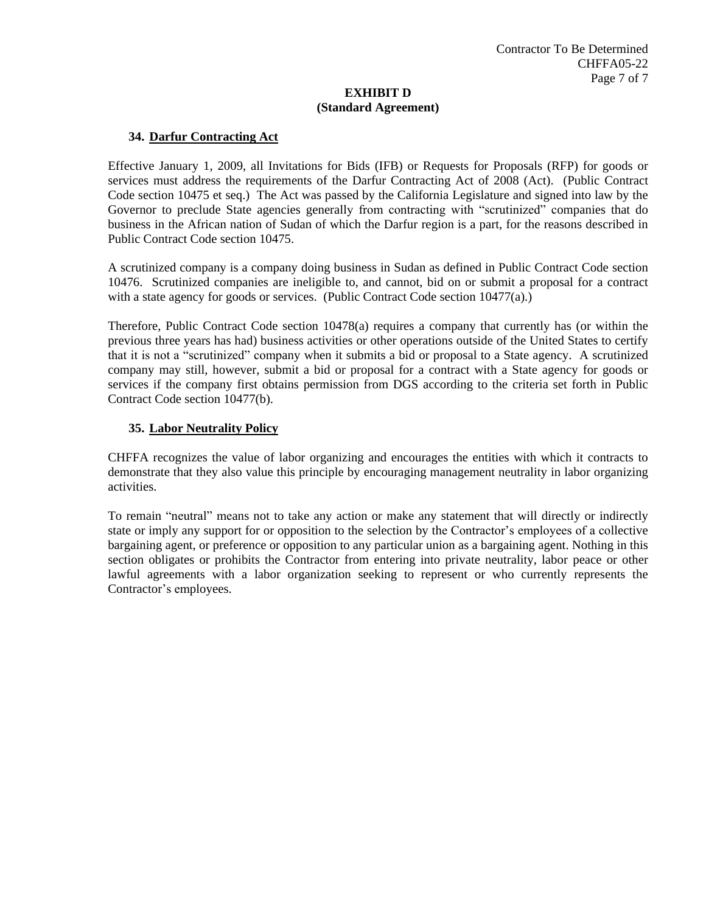## **34. Darfur Contracting Act**

Effective January 1, 2009, all Invitations for Bids (IFB) or Requests for Proposals (RFP) for goods or services must address the requirements of the Darfur Contracting Act of 2008 (Act). (Public Contract Code section 10475 et seq.) The Act was passed by the California Legislature and signed into law by the Governor to preclude State agencies generally from contracting with "scrutinized" companies that do business in the African nation of Sudan of which the Darfur region is a part, for the reasons described in Public Contract Code section 10475.

A scrutinized company is a company doing business in Sudan as defined in Public Contract Code section 10476. Scrutinized companies are ineligible to, and cannot, bid on or submit a proposal for a contract with a state agency for goods or services. (Public Contract Code section 10477(a).)

Therefore, Public Contract Code section 10478(a) requires a company that currently has (or within the previous three years has had) business activities or other operations outside of the United States to certify that it is not a "scrutinized" company when it submits a bid or proposal to a State agency. A scrutinized company may still, however, submit a bid or proposal for a contract with a State agency for goods or services if the company first obtains permission from DGS according to the criteria set forth in Public Contract Code section 10477(b).

## **35. Labor Neutrality Policy**

CHFFA recognizes the value of labor organizing and encourages the entities with which it contracts to demonstrate that they also value this principle by encouraging management neutrality in labor organizing activities.

To remain "neutral" means not to take any action or make any statement that will directly or indirectly state or imply any support for or opposition to the selection by the Contractor's employees of a collective bargaining agent, or preference or opposition to any particular union as a bargaining agent. Nothing in this section obligates or prohibits the Contractor from entering into private neutrality, labor peace or other lawful agreements with a labor organization seeking to represent or who currently represents the Contractor's employees.